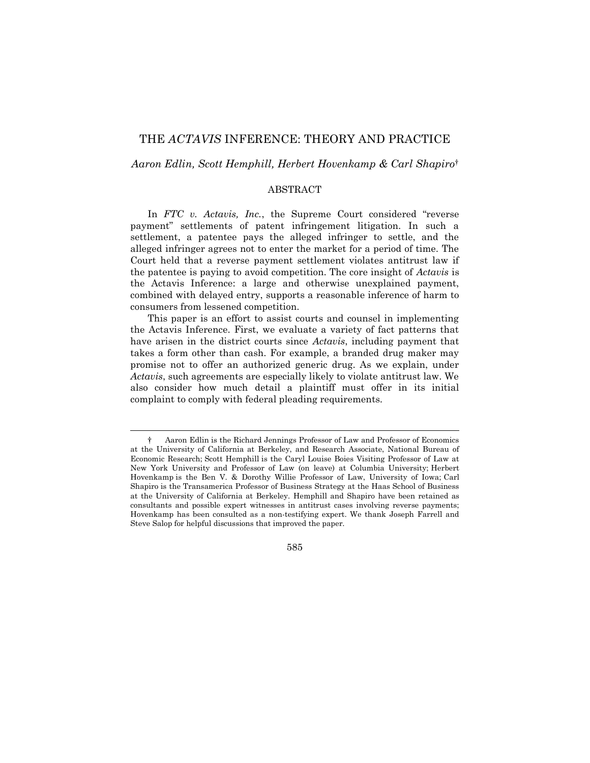# THE *ACTAVIS* INFERENCE: THEORY AND PRACTICE

## *Aaron Edlin, Scott Hemphill, Herbert Hovenkamp & Carl Shapiro*†

### ABSTRACT

In *FTC v. Actavis, Inc.*, the Supreme Court considered "reverse payment" settlements of patent infringement litigation. In such a settlement, a patentee pays the alleged infringer to settle, and the alleged infringer agrees not to enter the market for a period of time. The Court held that a reverse payment settlement violates antitrust law if the patentee is paying to avoid competition. The core insight of *Actavis* is the Actavis Inference: a large and otherwise unexplained payment, combined with delayed entry, supports a reasonable inference of harm to consumers from lessened competition.

This paper is an effort to assist courts and counsel in implementing the Actavis Inference. First, we evaluate a variety of fact patterns that have arisen in the district courts since *Actavis*, including payment that takes a form other than cash. For example, a branded drug maker may promise not to offer an authorized generic drug. As we explain, under *Actavis*, such agreements are especially likely to violate antitrust law. We also consider how much detail a plaintiff must offer in its initial complaint to comply with federal pleading requirements.

 $\overline{a}$ 

<sup>†</sup> Aaron Edlin is the Richard Jennings Professor of Law and Professor of Economics at the University of California at Berkeley, and Research Associate, National Bureau of Economic Research; Scott Hemphill is the Caryl Louise Boies Visiting Professor of Law at New York University and Professor of Law (on leave) at Columbia University; Herbert Hovenkamp is the Ben V. & Dorothy Willie Professor of Law, University of Iowa; Carl Shapiro is the Transamerica Professor of Business Strategy at the Haas School of Business at the University of California at Berkeley. Hemphill and Shapiro have been retained as consultants and possible expert witnesses in antitrust cases involving reverse payments; Hovenkamp has been consulted as a non-testifying expert. We thank Joseph Farrell and Steve Salop for helpful discussions that improved the paper.

<sup>585</sup>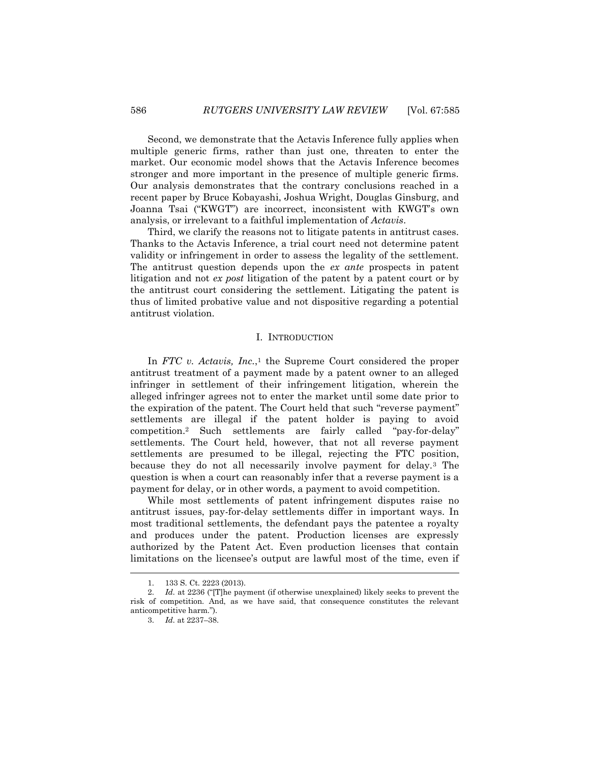Second, we demonstrate that the Actavis Inference fully applies when multiple generic firms, rather than just one, threaten to enter the market. Our economic model shows that the Actavis Inference becomes stronger and more important in the presence of multiple generic firms. Our analysis demonstrates that the contrary conclusions reached in a recent paper by Bruce Kobayashi, Joshua Wright, Douglas Ginsburg, and Joanna Tsai ("KWGT") are incorrect, inconsistent with KWGT's own analysis, or irrelevant to a faithful implementation of *Actavis*.

Third, we clarify the reasons not to litigate patents in antitrust cases. Thanks to the Actavis Inference, a trial court need not determine patent validity or infringement in order to assess the legality of the settlement. The antitrust question depends upon the *ex ante* prospects in patent litigation and not *ex post* litigation of the patent by a patent court or by the antitrust court considering the settlement. Litigating the patent is thus of limited probative value and not dispositive regarding a potential antitrust violation.

### I. INTRODUCTION

In *FTC v. Actavis, Inc.*,<sup>1</sup> the Supreme Court considered the proper antitrust treatment of a payment made by a patent owner to an alleged infringer in settlement of their infringement litigation, wherein the alleged infringer agrees not to enter the market until some date prior to the expiration of the patent. The Court held that such "reverse payment" settlements are illegal if the patent holder is paying to avoid competition.<sup>2</sup> Such settlements are fairly called "pay-for-delay" settlements. The Court held, however, that not all reverse payment settlements are presumed to be illegal, rejecting the FTC position, because they do not all necessarily involve payment for delay.<sup>3</sup> The question is when a court can reasonably infer that a reverse payment is a payment for delay, or in other words, a payment to avoid competition.

While most settlements of patent infringement disputes raise no antitrust issues, pay-for-delay settlements differ in important ways. In most traditional settlements, the defendant pays the patentee a royalty and produces under the patent. Production licenses are expressly authorized by the Patent Act. Even production licenses that contain limitations on the licensee's output are lawful most of the time, even if

<sup>1.</sup> 133 S. Ct. 2223 (2013).

<sup>2.</sup> *Id.* at 2236 ("[T]he payment (if otherwise unexplained) likely seeks to prevent the risk of competition. And, as we have said, that consequence constitutes the relevant anticompetitive harm.").

<sup>3.</sup> *Id.* at 2237–38.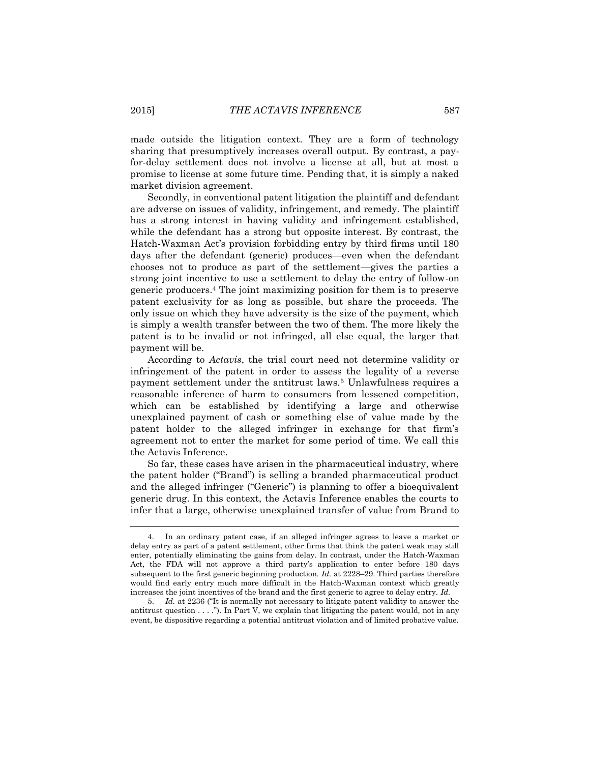made outside the litigation context. They are a form of technology sharing that presumptively increases overall output. By contrast, a payfor-delay settlement does not involve a license at all, but at most a promise to license at some future time. Pending that, it is simply a naked market division agreement.

Secondly, in conventional patent litigation the plaintiff and defendant are adverse on issues of validity, infringement, and remedy. The plaintiff has a strong interest in having validity and infringement established, while the defendant has a strong but opposite interest. By contrast, the Hatch-Waxman Act's provision forbidding entry by third firms until 180 days after the defendant (generic) produces—even when the defendant chooses not to produce as part of the settlement—gives the parties a strong joint incentive to use a settlement to delay the entry of follow-on generic producers.<sup>4</sup> The joint maximizing position for them is to preserve patent exclusivity for as long as possible, but share the proceeds. The only issue on which they have adversity is the size of the payment, which is simply a wealth transfer between the two of them. The more likely the patent is to be invalid or not infringed, all else equal, the larger that payment will be.

According to *Actavis*, the trial court need not determine validity or infringement of the patent in order to assess the legality of a reverse payment settlement under the antitrust laws.<sup>5</sup> Unlawfulness requires a reasonable inference of harm to consumers from lessened competition, which can be established by identifying a large and otherwise unexplained payment of cash or something else of value made by the patent holder to the alleged infringer in exchange for that firm's agreement not to enter the market for some period of time. We call this the Actavis Inference.

So far, these cases have arisen in the pharmaceutical industry, where the patent holder ("Brand") is selling a branded pharmaceutical product and the alleged infringer ("Generic") is planning to offer a bioequivalent generic drug. In this context, the Actavis Inference enables the courts to infer that a large, otherwise unexplained transfer of value from Brand to

<sup>4.</sup> In an ordinary patent case, if an alleged infringer agrees to leave a market or delay entry as part of a patent settlement, other firms that think the patent weak may still enter, potentially eliminating the gains from delay. In contrast, under the Hatch-Waxman Act, the FDA will not approve a third party's application to enter before 180 days subsequent to the first generic beginning production. *Id.* at 2228–29. Third parties therefore would find early entry much more difficult in the Hatch-Waxman context which greatly increases the joint incentives of the brand and the first generic to agree to delay entry. *Id.*

<sup>5.</sup> *Id.* at 2236 ("It is normally not necessary to litigate patent validity to answer the antitrust question  $\dots$ ."). In Part V, we explain that litigating the patent would, not in any event, be dispositive regarding a potential antitrust violation and of limited probative value.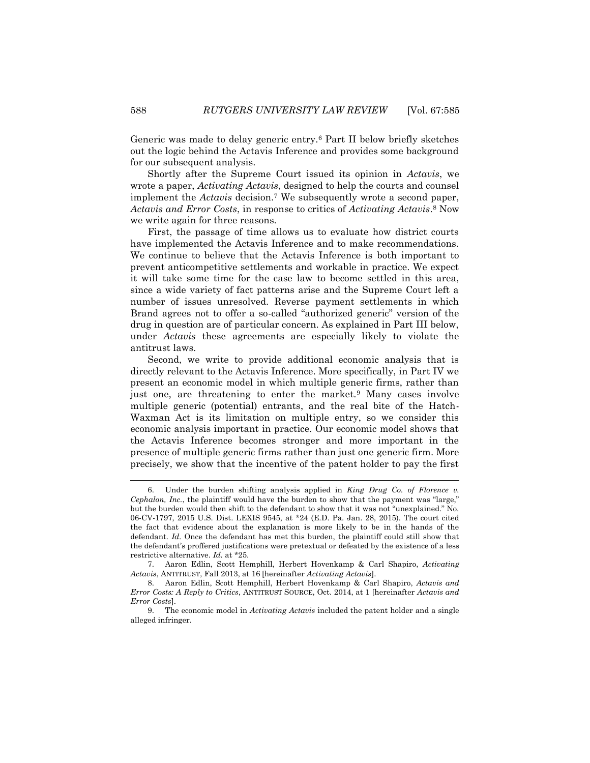Generic was made to delay generic entry.<sup>6</sup> Part II below briefly sketches out the logic behind the Actavis Inference and provides some background for our subsequent analysis.

Shortly after the Supreme Court issued its opinion in *Actavis*, we wrote a paper, *Activating Actavis*, designed to help the courts and counsel implement the *Actavis* decision.<sup>7</sup> We subsequently wrote a second paper, *Actavis and Error Costs*, in response to critics of *Activating Actavis*. <sup>8</sup> Now we write again for three reasons.

First, the passage of time allows us to evaluate how district courts have implemented the Actavis Inference and to make recommendations. We continue to believe that the Actavis Inference is both important to prevent anticompetitive settlements and workable in practice. We expect it will take some time for the case law to become settled in this area, since a wide variety of fact patterns arise and the Supreme Court left a number of issues unresolved. Reverse payment settlements in which Brand agrees not to offer a so-called "authorized generic" version of the drug in question are of particular concern. As explained in Part III below, under *Actavis* these agreements are especially likely to violate the antitrust laws.

Second, we write to provide additional economic analysis that is directly relevant to the Actavis Inference. More specifically, in Part IV we present an economic model in which multiple generic firms, rather than just one, are threatening to enter the market.<sup>9</sup> Many cases involve multiple generic (potential) entrants, and the real bite of the Hatch-Waxman Act is its limitation on multiple entry, so we consider this economic analysis important in practice. Our economic model shows that the Actavis Inference becomes stronger and more important in the presence of multiple generic firms rather than just one generic firm. More precisely, we show that the incentive of the patent holder to pay the first

<sup>6.</sup> Under the burden shifting analysis applied in *King Drug Co. of Florence v. Cephalon, Inc.*, the plaintiff would have the burden to show that the payment was "large," but the burden would then shift to the defendant to show that it was not "unexplained." No. 06-CV-1797, 2015 U.S. Dist. LEXIS 9545, at \*24 (E.D. Pa. Jan. 28, 2015). The court cited the fact that evidence about the explanation is more likely to be in the hands of the defendant. *Id.* Once the defendant has met this burden, the plaintiff could still show that the defendant's proffered justifications were pretextual or defeated by the existence of a less restrictive alternative. *Id.* at \*25.

<sup>7.</sup> Aaron Edlin, Scott Hemphill, Herbert Hovenkamp & Carl Shapiro, *Activating Actavis*, ANTITRUST, Fall 2013, at 16 [hereinafter *Activating Actavis*].

<sup>8.</sup> Aaron Edlin, Scott Hemphill, Herbert Hovenkamp & Carl Shapiro, *Actavis and Error Costs: A Reply to Critics*, ANTITRUST SOURCE, Oct. 2014, at 1 [hereinafter *Actavis and Error Costs*].

<sup>9.</sup> The economic model in *Activating Actavis* included the patent holder and a single alleged infringer.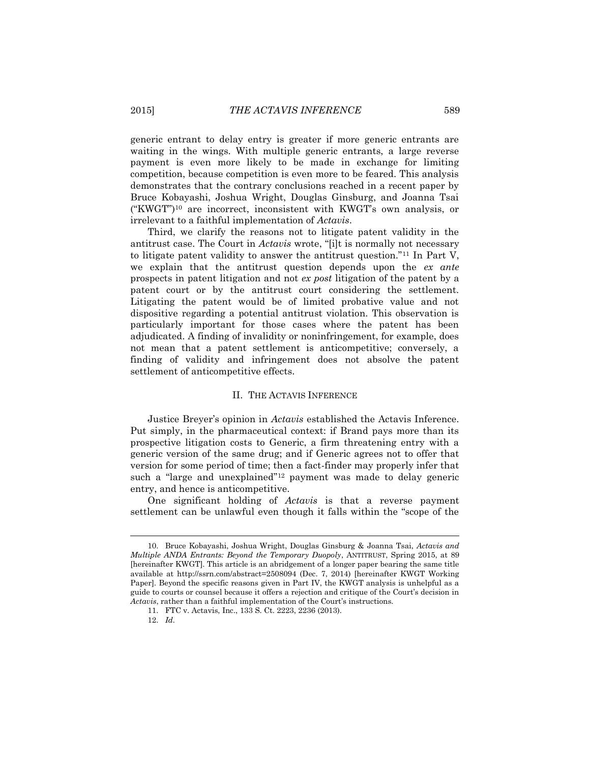generic entrant to delay entry is greater if more generic entrants are waiting in the wings. With multiple generic entrants, a large reverse payment is even more likely to be made in exchange for limiting competition, because competition is even more to be feared. This analysis demonstrates that the contrary conclusions reached in a recent paper by Bruce Kobayashi, Joshua Wright, Douglas Ginsburg, and Joanna Tsai ("KWGT")<sup>10</sup> are incorrect, inconsistent with KWGT's own analysis, or irrelevant to a faithful implementation of *Actavis*.

<span id="page-4-0"></span>Third, we clarify the reasons not to litigate patent validity in the antitrust case. The Court in *Actavis* wrote, "[i]t is normally not necessary to litigate patent validity to answer the antitrust question."<sup>11</sup> In Part V, we explain that the antitrust question depends upon the *ex ante* prospects in patent litigation and not *ex post* litigation of the patent by a patent court or by the antitrust court considering the settlement. Litigating the patent would be of limited probative value and not dispositive regarding a potential antitrust violation. This observation is particularly important for those cases where the patent has been adjudicated. A finding of invalidity or noninfringement, for example, does not mean that a patent settlement is anticompetitive; conversely, a finding of validity and infringement does not absolve the patent settlement of anticompetitive effects.

#### II. THE ACTAVIS INFERENCE

Justice Breyer's opinion in *Actavis* established the Actavis Inference. Put simply, in the pharmaceutical context: if Brand pays more than its prospective litigation costs to Generic, a firm threatening entry with a generic version of the same drug; and if Generic agrees not to offer that version for some period of time; then a fact-finder may properly infer that such a "large and unexplained"<sup>12</sup> payment was made to delay generic entry, and hence is anticompetitive.

One significant holding of *Actavis* is that a reverse payment settlement can be unlawful even though it falls within the "scope of the

<sup>10.</sup> Bruce Kobayashi, Joshua Wright, Douglas Ginsburg & Joanna Tsai, *Actavis and Multiple ANDA Entrants: Beyond the Temporary Duopoly*, ANTITRUST, Spring 2015, at 89 [hereinafter KWGT]. This article is an abridgement of a longer paper bearing the same title available at http://ssrn.com/abstract=2508094 (Dec. 7, 2014) [hereinafter KWGT Working Paper]. Beyond the specific reasons given in Part IV, the KWGT analysis is unhelpful as a guide to courts or counsel because it offers a rejection and critique of the Court's decision in *Actavis*, rather than a faithful implementation of the Court's instructions.

<sup>11.</sup> FTC v. Actavis, Inc., 133 S. Ct. 2223, 2236 (2013).

<sup>12.</sup> *Id.*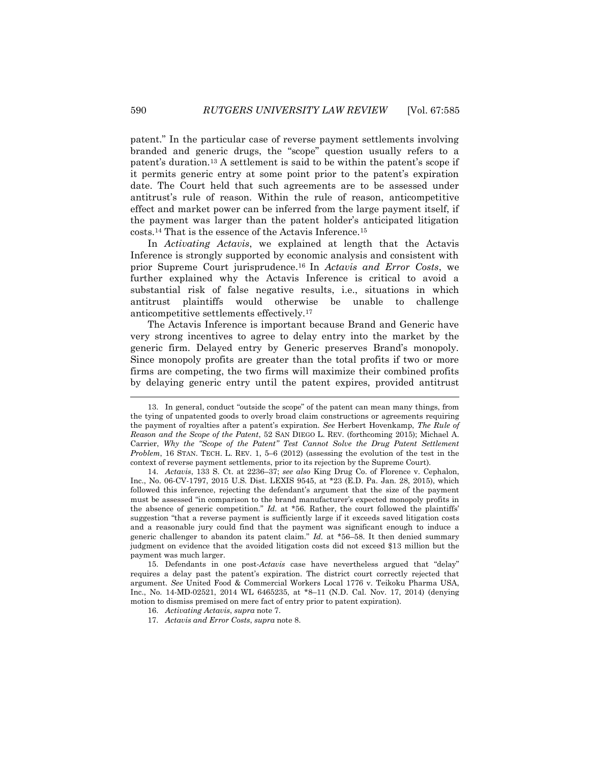patent." In the particular case of reverse payment settlements involving branded and generic drugs, the "scope" question usually refers to a patent's duration.<sup>13</sup> A settlement is said to be within the patent's scope if it permits generic entry at some point prior to the patent's expiration date. The Court held that such agreements are to be assessed under antitrust's rule of reason. Within the rule of reason, anticompetitive effect and market power can be inferred from the large payment itself, if the payment was larger than the patent holder's anticipated litigation costs.<sup>14</sup> That is the essence of the Actavis Inference.<sup>15</sup>

In *Activating Actavis*, we explained at length that the Actavis Inference is strongly supported by economic analysis and consistent with prior Supreme Court jurisprudence.<sup>16</sup> In *Actavis and Error Costs*, we further explained why the Actavis Inference is critical to avoid a substantial risk of false negative results, i.e., situations in which antitrust plaintiffs would otherwise be unable to challenge anticompetitive settlements effectively.<sup>17</sup>

The Actavis Inference is important because Brand and Generic have very strong incentives to agree to delay entry into the market by the generic firm. Delayed entry by Generic preserves Brand's monopoly. Since monopoly profits are greater than the total profits if two or more firms are competing, the two firms will maximize their combined profits by delaying generic entry until the patent expires, provided antitrust

<sup>13.</sup> In general, conduct "outside the scope" of the patent can mean many things, from the tying of unpatented goods to overly broad claim constructions or agreements requiring the payment of royalties after a patent's expiration. *See* Herbert Hovenkamp, *The Rule of Reason and the Scope of the Patent*, 52 SAN DIEGO L. REV. (forthcoming 2015); Michael A. Carrier, *Why the "Scope of the Patent" Test Cannot Solve the Drug Patent Settlement Problem*, 16 STAN. TECH. L. REV. 1, 5–6 (2012) (assessing the evolution of the test in the context of reverse payment settlements, prior to its rejection by the Supreme Court).

<sup>14.</sup> *Actavis*, 133 S. Ct. at 2236–37; *see also* King Drug Co. of Florence v. Cephalon, Inc., No. 06-CV-1797, 2015 U.S. Dist. LEXIS 9545, at \*23 (E.D. Pa. Jan. 28, 2015), which followed this inference, rejecting the defendant's argument that the size of the payment must be assessed "in comparison to the brand manufacturer's expected monopoly profits in the absence of generic competition." *Id.* at \*56. Rather, the court followed the plaintiffs' suggestion "that a reverse payment is sufficiently large if it exceeds saved litigation costs and a reasonable jury could find that the payment was significant enough to induce a generic challenger to abandon its patent claim." *Id.* at \*56–58. It then denied summary judgment on evidence that the avoided litigation costs did not exceed \$13 million but the payment was much larger.

<sup>15.</sup> Defendants in one post-*Actavis* case have nevertheless argued that "delay" requires a delay past the patent's expiration. The district court correctly rejected that argument. *See* United Food & Commercial Workers Local 1776 v. Teikoku Pharma USA, Inc., No. 14-MD-02521, 2014 WL 6465235, at \*8–11 (N.D. Cal. Nov. 17, 2014) (denying motion to dismiss premised on mere fact of entry prior to patent expiration).

<sup>16.</sup> *Activating Actavis*, *supra* note 7.

<sup>17.</sup> *Actavis and Error Costs*, *supra* note 8.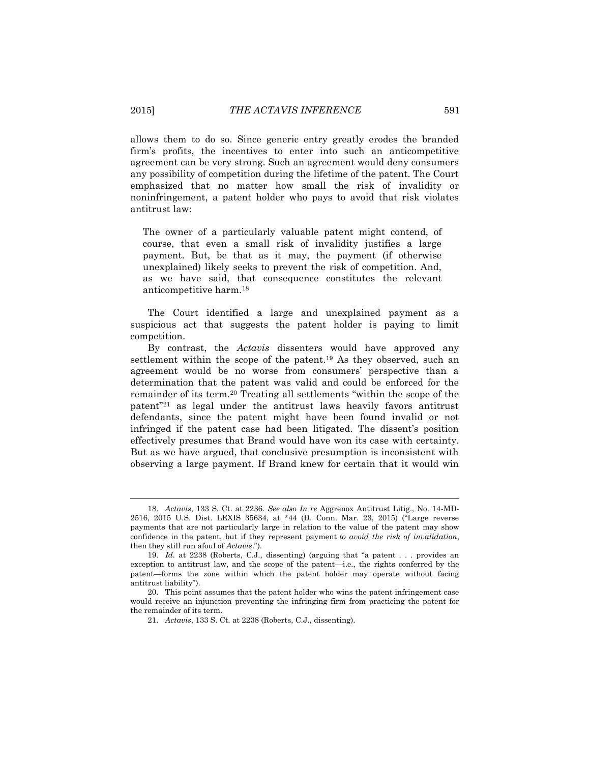allows them to do so. Since generic entry greatly erodes the branded firm's profits, the incentives to enter into such an anticompetitive agreement can be very strong. Such an agreement would deny consumers any possibility of competition during the lifetime of the patent. The Court emphasized that no matter how small the risk of invalidity or noninfringement, a patent holder who pays to avoid that risk violates antitrust law:

The owner of a particularly valuable patent might contend, of course, that even a small risk of invalidity justifies a large payment. But, be that as it may, the payment (if otherwise unexplained) likely seeks to prevent the risk of competition. And, as we have said, that consequence constitutes the relevant anticompetitive harm.<sup>18</sup>

The Court identified a large and unexplained payment as a suspicious act that suggests the patent holder is paying to limit competition.

By contrast, the *Actavis* dissenters would have approved any settlement within the scope of the patent.<sup>19</sup> As they observed, such an agreement would be no worse from consumers' perspective than a determination that the patent was valid and could be enforced for the remainder of its term.<sup>20</sup> Treating all settlements "within the scope of the patent"<sup>21</sup> as legal under the antitrust laws heavily favors antitrust defendants, since the patent might have been found invalid or not infringed if the patent case had been litigated. The dissent's position effectively presumes that Brand would have won its case with certainty. But as we have argued, that conclusive presumption is inconsistent with observing a large payment. If Brand knew for certain that it would win

<sup>18.</sup> *Actavis*, 133 S. Ct. at 2236. *See also In re* Aggrenox Antitrust Litig., No. 14-MD-2516, 2015 U.S. Dist. LEXIS 35634, at \*44 (D. Conn. Mar. 23, 2015) ("Large reverse payments that are not particularly large in relation to the value of the patent may show confidence in the patent, but if they represent payment *to avoid the risk of invalidation*, then they still run afoul of *Actavis*.").

<sup>19.</sup> *Id.* at 2238 (Roberts, C.J., dissenting) (arguing that "a patent . . . provides an exception to antitrust law, and the scope of the patent—i.e., the rights conferred by the patent—forms the zone within which the patent holder may operate without facing antitrust liability").

<sup>20.</sup> This point assumes that the patent holder who wins the patent infringement case would receive an injunction preventing the infringing firm from practicing the patent for the remainder of its term.

<sup>21.</sup> *Actavis*, 133 S. Ct. at 2238 (Roberts, C.J., dissenting).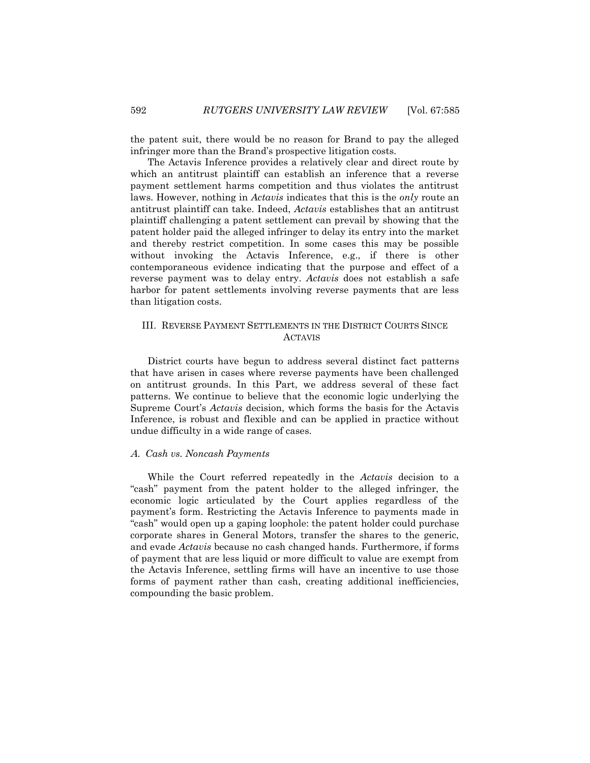the patent suit, there would be no reason for Brand to pay the alleged infringer more than the Brand's prospective litigation costs.

The Actavis Inference provides a relatively clear and direct route by which an antitrust plaintiff can establish an inference that a reverse payment settlement harms competition and thus violates the antitrust laws. However, nothing in *Actavis* indicates that this is the *only* route an antitrust plaintiff can take. Indeed, *Actavis* establishes that an antitrust plaintiff challenging a patent settlement can prevail by showing that the patent holder paid the alleged infringer to delay its entry into the market and thereby restrict competition. In some cases this may be possible without invoking the Actavis Inference, e.g., if there is other contemporaneous evidence indicating that the purpose and effect of a reverse payment was to delay entry. *Actavis* does not establish a safe harbor for patent settlements involving reverse payments that are less than litigation costs.

### III. REVERSE PAYMENT SETTLEMENTS IN THE DISTRICT COURTS SINCE **ACTAVIS**

District courts have begun to address several distinct fact patterns that have arisen in cases where reverse payments have been challenged on antitrust grounds. In this Part, we address several of these fact patterns. We continue to believe that the economic logic underlying the Supreme Court's *Actavis* decision, which forms the basis for the Actavis Inference, is robust and flexible and can be applied in practice without undue difficulty in a wide range of cases.

### A. *Cash vs. Noncash Payments*

While the Court referred repeatedly in the *Actavis* decision to a "cash" payment from the patent holder to the alleged infringer, the economic logic articulated by the Court applies regardless of the payment's form. Restricting the Actavis Inference to payments made in "cash" would open up a gaping loophole: the patent holder could purchase corporate shares in General Motors, transfer the shares to the generic, and evade *Actavis* because no cash changed hands. Furthermore, if forms of payment that are less liquid or more difficult to value are exempt from the Actavis Inference, settling firms will have an incentive to use those forms of payment rather than cash, creating additional inefficiencies, compounding the basic problem.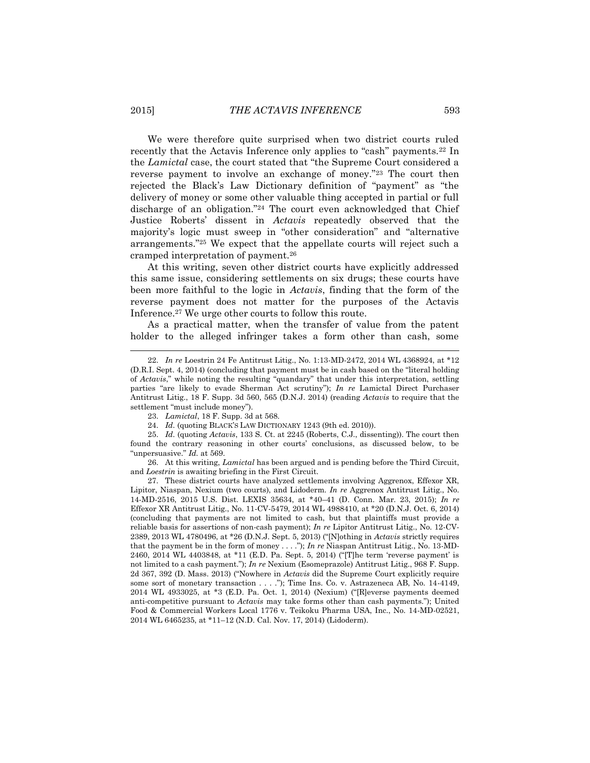We were therefore quite surprised when two district courts ruled recently that the Actavis Inference only applies to "cash" payments.<sup>22</sup> In the *Lamictal* case, the court stated that "the Supreme Court considered a reverse payment to involve an exchange of money."<sup>23</sup> The court then rejected the Black's Law Dictionary definition of "payment" as "the delivery of money or some other valuable thing accepted in partial or full discharge of an obligation."<sup>24</sup> The court even acknowledged that Chief Justice Roberts' dissent in *Actavis* repeatedly observed that the majority's logic must sweep in "other consideration" and "alternative arrangements."<sup>25</sup> We expect that the appellate courts will reject such a cramped interpretation of payment.<sup>26</sup>

At this writing, seven other district courts have explicitly addressed this same issue, considering settlements on six drugs; these courts have been more faithful to the logic in *Actavis*, finding that the form of the reverse payment does not matter for the purposes of the Actavis Inference.<sup>27</sup> We urge other courts to follow this route.

As a practical matter, when the transfer of value from the patent holder to the alleged infringer takes a form other than cash, some

25. *Id.* (quoting *Actavis*, 133 S. Ct. at 2245 (Roberts, C.J., dissenting)). The court then found the contrary reasoning in other courts' conclusions, as discussed below, to be "unpersuasive." *Id.* at 569.

26. At this writing, *Lamictal* has been argued and is pending before the Third Circuit, and *Loestrin* is awaiting briefing in the First Circuit.

27. These district courts have analyzed settlements involving Aggrenox, Effexor XR, Lipitor, Niaspan, Nexium (two courts), and Lidoderm. *In re* Aggrenox Antitrust Litig., No. 14-MD-2516, 2015 U.S. Dist. LEXIS 35634, at \*40–41 (D. Conn. Mar. 23, 2015); *In re* Effexor XR Antitrust Litig., No. 11-CV-5479, 2014 WL 4988410, at \*20 (D.N.J. Oct. 6, 2014) (concluding that payments are not limited to cash, but that plaintiffs must provide a reliable basis for assertions of non-cash payment); *In re* Lipitor Antitrust Litig., No. 12-CV-2389, 2013 WL 4780496, at \*26 (D.N.J. Sept. 5, 2013) ("[N]othing in *Actavis* strictly requires that the payment be in the form of money . . . ."); *In re* Niaspan Antitrust Litig., No. 13-MD-2460, 2014 WL 4403848, at \*11 (E.D. Pa. Sept. 5, 2014) ("[T]he term 'reverse payment' is not limited to a cash payment."); *In re* Nexium (Esomeprazole) Antitrust Litig., 968 F. Supp. 2d 367, 392 (D. Mass. 2013) ("Nowhere in *Actavis* did the Supreme Court explicitly require some sort of monetary transaction . . . ."); Time Ins. Co. v. Astrazeneca AB, No. 14-4149, 2014 WL 4933025, at \*3 (E.D. Pa. Oct. 1, 2014) (Nexium) ("[R]everse payments deemed anti-competitive pursuant to *Actavis* may take forms other than cash payments."); United Food & Commercial Workers Local 1776 v. Teikoku Pharma USA, Inc., No. 14-MD-02521, 2014 WL 6465235, at \*11–12 (N.D. Cal. Nov. 17, 2014) (Lidoderm).

<sup>22.</sup> *In re* Loestrin 24 Fe Antitrust Litig., No. 1:13-MD-2472, 2014 WL 4368924, at \*12 (D.R.I. Sept. 4, 2014) (concluding that payment must be in cash based on the "literal holding of *Actavis*," while noting the resulting "quandary" that under this interpretation, settling parties "are likely to evade Sherman Act scrutiny"); *In re* Lamictal Direct Purchaser Antitrust Litig., 18 F. Supp. 3d 560, 565 (D.N.J. 2014) (reading *Actavis* to require that the settlement "must include money").

<sup>23.</sup> *Lamictal*, 18 F. Supp. 3d at 568.

<sup>24.</sup> *Id.* (quoting BLACK'S LAW DICTIONARY 1243 (9th ed. 2010)).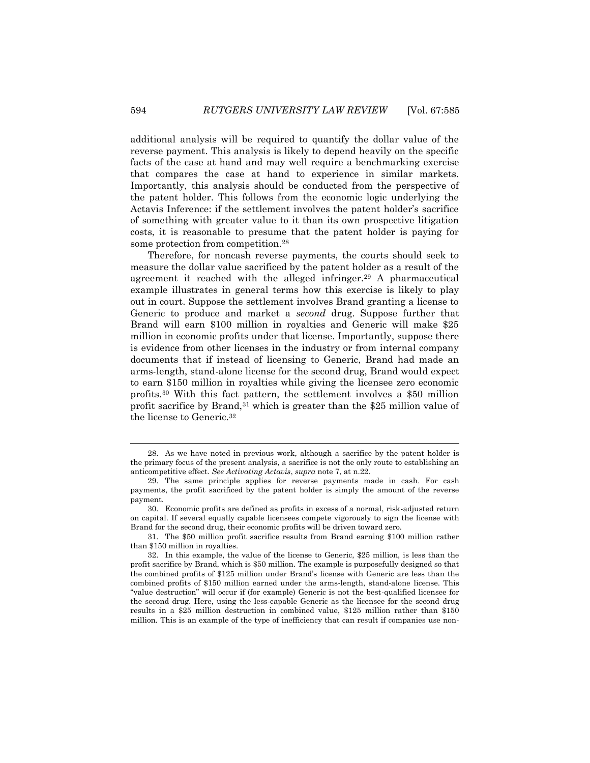additional analysis will be required to quantify the dollar value of the reverse payment. This analysis is likely to depend heavily on the specific facts of the case at hand and may well require a benchmarking exercise that compares the case at hand to experience in similar markets. Importantly, this analysis should be conducted from the perspective of the patent holder. This follows from the economic logic underlying the Actavis Inference: if the settlement involves the patent holder's sacrifice of something with greater value to it than its own prospective litigation costs, it is reasonable to presume that the patent holder is paying for some protection from competition.<sup>28</sup>

Therefore, for noncash reverse payments, the courts should seek to measure the dollar value sacrificed by the patent holder as a result of the agreement it reached with the alleged infringer.<sup>29</sup> A pharmaceutical example illustrates in general terms how this exercise is likely to play out in court. Suppose the settlement involves Brand granting a license to Generic to produce and market a *second* drug. Suppose further that Brand will earn \$100 million in royalties and Generic will make \$25 million in economic profits under that license. Importantly, suppose there is evidence from other licenses in the industry or from internal company documents that if instead of licensing to Generic, Brand had made an arms-length, stand-alone license for the second drug, Brand would expect to earn \$150 million in royalties while giving the licensee zero economic profits.<sup>30</sup> With this fact pattern, the settlement involves a \$50 million profit sacrifice by Brand,<sup>31</sup> which is greater than the \$25 million value of the license to Generic.<sup>32</sup>

<sup>28.</sup> As we have noted in previous work, although a sacrifice by the patent holder is the primary focus of the present analysis, a sacrifice is not the only route to establishing an anticompetitive effect. *See Activating Actavis*, *supra* note 7, at n.22.

<sup>29.</sup> The same principle applies for reverse payments made in cash. For cash payments, the profit sacrificed by the patent holder is simply the amount of the reverse payment.

<sup>30.</sup> Economic profits are defined as profits in excess of a normal, risk-adjusted return on capital. If several equally capable licensees compete vigorously to sign the license with Brand for the second drug, their economic profits will be driven toward zero.

<sup>31.</sup> The \$50 million profit sacrifice results from Brand earning \$100 million rather than \$150 million in royalties.

<sup>32.</sup> In this example, the value of the license to Generic, \$25 million, is less than the profit sacrifice by Brand, which is \$50 million. The example is purposefully designed so that the combined profits of \$125 million under Brand's license with Generic are less than the combined profits of \$150 million earned under the arms-length, stand-alone license. This "value destruction" will occur if (for example) Generic is not the best-qualified licensee for the second drug. Here, using the less-capable Generic as the licensee for the second drug results in a \$25 million destruction in combined value, \$125 million rather than \$150 million. This is an example of the type of inefficiency that can result if companies use non-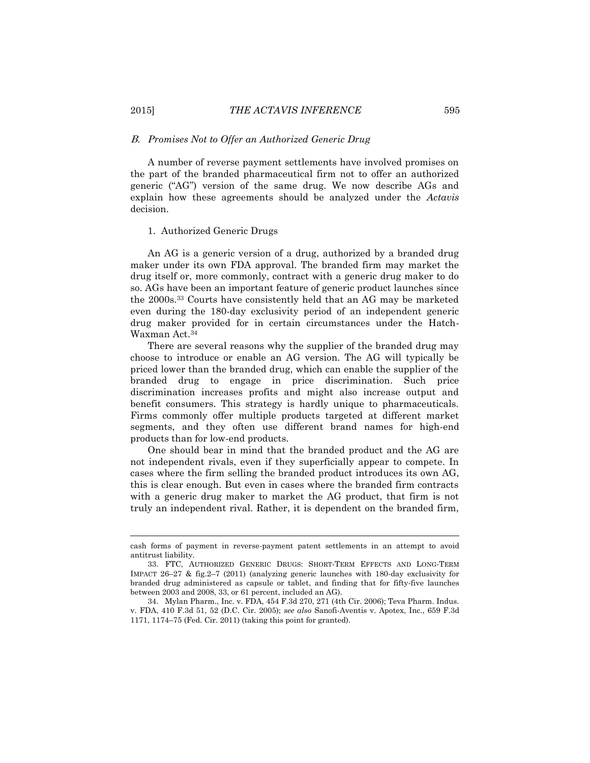#### B. *Promises Not to Offer an Authorized Generic Drug*

A number of reverse payment settlements have involved promises on the part of the branded pharmaceutical firm not to offer an authorized generic ("AG") version of the same drug. We now describe AGs and explain how these agreements should be analyzed under the *Actavis* decision.

#### 1. Authorized Generic Drugs

An AG is a generic version of a drug, authorized by a branded drug maker under its own FDA approval. The branded firm may market the drug itself or, more commonly, contract with a generic drug maker to do so. AGs have been an important feature of generic product launches since the 2000s.<sup>33</sup> Courts have consistently held that an AG may be marketed even during the 180-day exclusivity period of an independent generic drug maker provided for in certain circumstances under the Hatch-Waxman Act.<sup>34</sup>

There are several reasons why the supplier of the branded drug may choose to introduce or enable an AG version. The AG will typically be priced lower than the branded drug, which can enable the supplier of the branded drug to engage in price discrimination. Such price discrimination increases profits and might also increase output and benefit consumers. This strategy is hardly unique to pharmaceuticals. Firms commonly offer multiple products targeted at different market segments, and they often use different brand names for high-end products than for low-end products.

One should bear in mind that the branded product and the AG are not independent rivals, even if they superficially appear to compete. In cases where the firm selling the branded product introduces its own AG, this is clear enough. But even in cases where the branded firm contracts with a generic drug maker to market the AG product, that firm is not truly an independent rival. Rather, it is dependent on the branded firm,

cash forms of payment in reverse-payment patent settlements in an attempt to avoid antitrust liability.

<sup>33.</sup> FTC, AUTHORIZED GENERIC DRUGS: SHORT-TERM EFFECTS AND LONG-TERM IMPACT 26–27 & fig.2–7 (2011) (analyzing generic launches with 180-day exclusivity for branded drug administered as capsule or tablet, and finding that for fifty-five launches between 2003 and 2008, 33, or 61 percent, included an AG).

<sup>34.</sup> Mylan Pharm., Inc. v. FDA, 454 F.3d 270, 271 (4th Cir. 2006); Teva Pharm. Indus. v. FDA, 410 F.3d 51, 52 (D.C. Cir. 2005); *see also* Sanofi-Aventis v. Apotex, Inc., 659 F.3d 1171, 1174–75 (Fed. Cir. 2011) (taking this point for granted).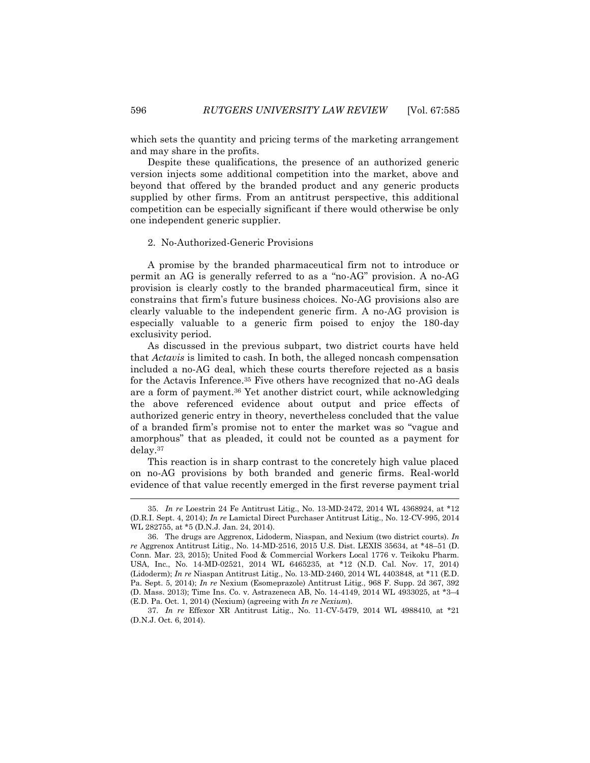which sets the quantity and pricing terms of the marketing arrangement and may share in the profits.

Despite these qualifications, the presence of an authorized generic version injects some additional competition into the market, above and beyond that offered by the branded product and any generic products supplied by other firms. From an antitrust perspective, this additional competition can be especially significant if there would otherwise be only one independent generic supplier.

### 2. No-Authorized-Generic Provisions

A promise by the branded pharmaceutical firm not to introduce or permit an AG is generally referred to as a "no-AG" provision. A no-AG provision is clearly costly to the branded pharmaceutical firm, since it constrains that firm's future business choices. No-AG provisions also are clearly valuable to the independent generic firm. A no-AG provision is especially valuable to a generic firm poised to enjoy the 180-day exclusivity period.

As discussed in the previous subpart, two district courts have held that *Actavis* is limited to cash. In both, the alleged noncash compensation included a no-AG deal, which these courts therefore rejected as a basis for the Actavis Inference.<sup>35</sup> Five others have recognized that no-AG deals are a form of payment.<sup>36</sup> Yet another district court, while acknowledging the above referenced evidence about output and price effects of authorized generic entry in theory, nevertheless concluded that the value of a branded firm's promise not to enter the market was so "vague and amorphous" that as pleaded, it could not be counted as a payment for delay.<sup>37</sup>

This reaction is in sharp contrast to the concretely high value placed on no-AG provisions by both branded and generic firms. Real-world evidence of that value recently emerged in the first reverse payment trial

<sup>35.</sup> *In re* Loestrin 24 Fe Antitrust Litig., No. 13-MD-2472, 2014 WL 4368924, at \*12 (D.R.I. Sept. 4, 2014); *In re* Lamictal Direct Purchaser Antitrust Litig., No. 12-CV-995, 2014 WL 282755, at \*5 (D.N.J. Jan. 24, 2014).

<sup>36.</sup> The drugs are Aggrenox, Lidoderm, Niaspan, and Nexium (two district courts). *In re* Aggrenox Antitrust Litig., No. 14-MD-2516, 2015 U.S. Dist. LEXIS 35634, at \*48–51 (D. Conn. Mar. 23, 2015); United Food & Commercial Workers Local 1776 v. Teikoku Pharm. USA, Inc., No. 14-MD-02521, 2014 WL 6465235, at \*12 (N.D. Cal. Nov. 17, 2014) (Lidoderm); *In re* Niaspan Antitrust Litig., No. 13-MD-2460, 2014 WL 4403848, at \*11 (E.D. Pa. Sept. 5, 2014); *In re* Nexium (Esomeprazole) Antitrust Litig., 968 F. Supp. 2d 367, 392 (D. Mass. 2013); Time Ins. Co. v. Astrazeneca AB, No. 14-4149, 2014 WL 4933025, at \*3–4 (E.D. Pa. Oct. 1, 2014) (Nexium) (agreeing with *In re Nexium*).

<sup>37.</sup> *In re* Effexor XR Antitrust Litig., No. 11-CV-5479, 2014 WL 4988410, at \*21 (D.N.J. Oct. 6, 2014).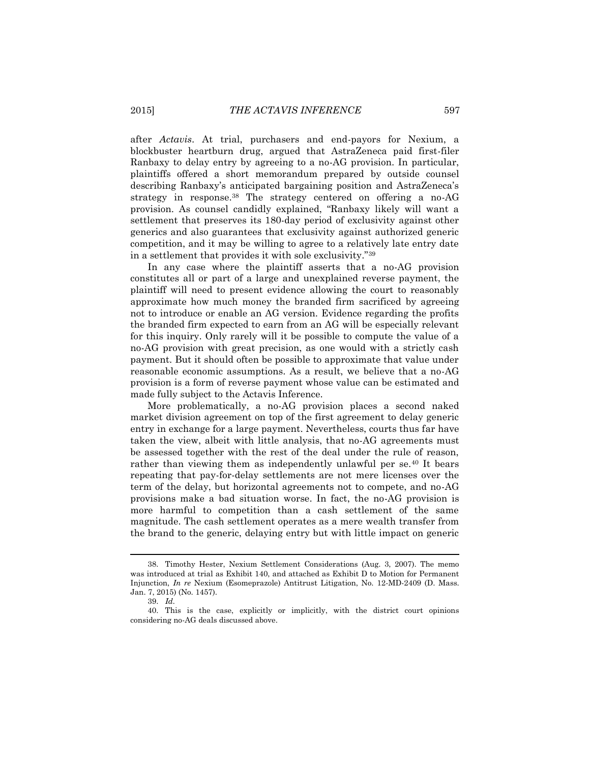after *Actavis*. At trial, purchasers and end-payors for Nexium, a blockbuster heartburn drug, argued that AstraZeneca paid first-filer Ranbaxy to delay entry by agreeing to a no-AG provision. In particular, plaintiffs offered a short memorandum prepared by outside counsel describing Ranbaxy's anticipated bargaining position and AstraZeneca's strategy in response.<sup>38</sup> The strategy centered on offering a no-AG provision. As counsel candidly explained, "Ranbaxy likely will want a settlement that preserves its 180-day period of exclusivity against other generics and also guarantees that exclusivity against authorized generic competition, and it may be willing to agree to a relatively late entry date in a settlement that provides it with sole exclusivity."<sup>39</sup>

In any case where the plaintiff asserts that a no-AG provision constitutes all or part of a large and unexplained reverse payment, the plaintiff will need to present evidence allowing the court to reasonably approximate how much money the branded firm sacrificed by agreeing not to introduce or enable an AG version. Evidence regarding the profits the branded firm expected to earn from an AG will be especially relevant for this inquiry. Only rarely will it be possible to compute the value of a no-AG provision with great precision, as one would with a strictly cash payment. But it should often be possible to approximate that value under reasonable economic assumptions. As a result, we believe that a no-AG provision is a form of reverse payment whose value can be estimated and made fully subject to the Actavis Inference.

More problematically, a no-AG provision places a second naked market division agreement on top of the first agreement to delay generic entry in exchange for a large payment. Nevertheless, courts thus far have taken the view, albeit with little analysis, that no-AG agreements must be assessed together with the rest of the deal under the rule of reason, rather than viewing them as independently unlawful per se.<sup>40</sup> It bears repeating that pay-for-delay settlements are not mere licenses over the term of the delay, but horizontal agreements not to compete, and no-AG provisions make a bad situation worse. In fact, the no-AG provision is more harmful to competition than a cash settlement of the same magnitude. The cash settlement operates as a mere wealth transfer from the brand to the generic, delaying entry but with little impact on generic

<sup>38.</sup> Timothy Hester, Nexium Settlement Considerations (Aug. 3, 2007). The memo was introduced at trial as Exhibit 140, and attached as Exhibit D to Motion for Permanent Injunction, *In re* Nexium (Esomeprazole) Antitrust Litigation, No. 12-MD-2409 (D. Mass. Jan. 7, 2015) (No. 1457).

<sup>39.</sup> *Id.*

<sup>40.</sup> This is the case, explicitly or implicitly, with the district court opinions considering no-AG deals discussed above.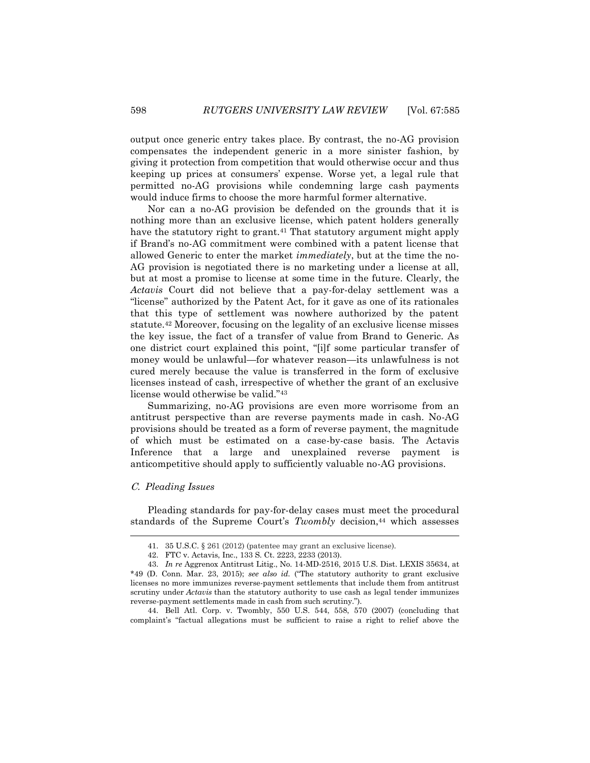output once generic entry takes place. By contrast, the no-AG provision compensates the independent generic in a more sinister fashion, by giving it protection from competition that would otherwise occur and thus keeping up prices at consumers' expense. Worse yet, a legal rule that permitted no-AG provisions while condemning large cash payments would induce firms to choose the more harmful former alternative.

Nor can a no-AG provision be defended on the grounds that it is nothing more than an exclusive license, which patent holders generally have the statutory right to grant.<sup>41</sup> That statutory argument might apply if Brand's no-AG commitment were combined with a patent license that allowed Generic to enter the market *immediately*, but at the time the no-AG provision is negotiated there is no marketing under a license at all, but at most a promise to license at some time in the future. Clearly, the *Actavis* Court did not believe that a pay-for-delay settlement was a "license" authorized by the Patent Act, for it gave as one of its rationales that this type of settlement was nowhere authorized by the patent statute.<sup>42</sup> Moreover, focusing on the legality of an exclusive license misses the key issue, the fact of a transfer of value from Brand to Generic. As one district court explained this point, "[i]f some particular transfer of money would be unlawful—for whatever reason—its unlawfulness is not cured merely because the value is transferred in the form of exclusive licenses instead of cash, irrespective of whether the grant of an exclusive license would otherwise be valid."<sup>43</sup>

Summarizing, no-AG provisions are even more worrisome from an antitrust perspective than are reverse payments made in cash. No-AG provisions should be treated as a form of reverse payment, the magnitude of which must be estimated on a case-by-case basis. The Actavis Inference that a large and unexplained reverse payment is anticompetitive should apply to sufficiently valuable no-AG provisions.

## C. *Pleading Issues*

 $\overline{\phantom{a}}$ 

Pleading standards for pay-for-delay cases must meet the procedural standards of the Supreme Court's *Twombly* decision.<sup>44</sup> which assesses

44. Bell Atl. Corp. v. Twombly, 550 U.S. 544, 558, 570 (2007) (concluding that complaint's "factual allegations must be sufficient to raise a right to relief above the

<sup>41.</sup> 35 U.S.C. § 261 (2012) (patentee may grant an exclusive license).

<sup>42.</sup> FTC v. Actavis, Inc., 133 S. Ct. 2223, 2233 (2013).

<sup>43.</sup> *In re* Aggrenox Antitrust Litig., No. 14-MD-2516, 2015 U.S. Dist. LEXIS 35634, at \*49 (D. Conn. Mar. 23, 2015); *see also id.* ("The statutory authority to grant exclusive licenses no more immunizes reverse-payment settlements that include them from antitrust scrutiny under *Actavis* than the statutory authority to use cash as legal tender immunizes reverse-payment settlements made in cash from such scrutiny.").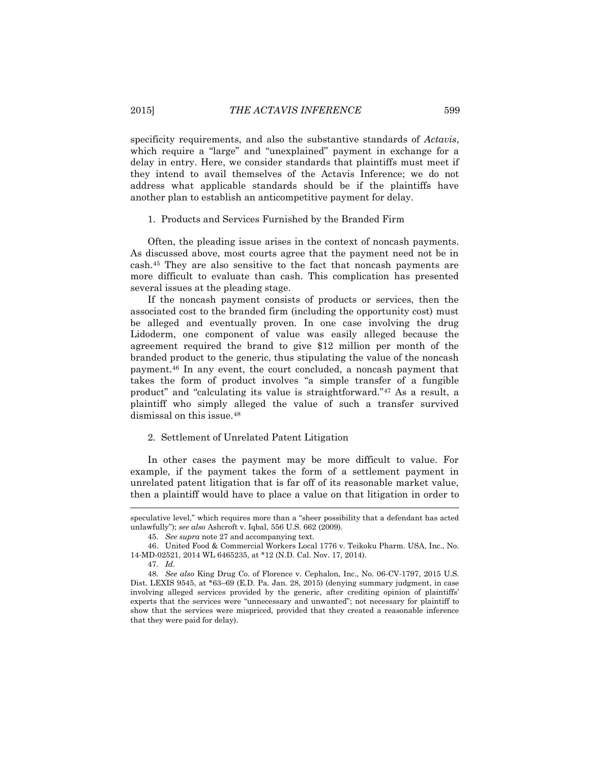specificity requirements, and also the substantive standards of *Actavis*, which require a "large" and "unexplained" payment in exchange for a delay in entry. Here, we consider standards that plaintiffs must meet if they intend to avail themselves of the Actavis Inference; we do not address what applicable standards should be if the plaintiffs have another plan to establish an anticompetitive payment for delay.

### 1. Products and Services Furnished by the Branded Firm

Often, the pleading issue arises in the context of noncash payments. As discussed above, most courts agree that the payment need not be in cash.<sup>45</sup> They are also sensitive to the fact that noncash payments are more difficult to evaluate than cash. This complication has presented several issues at the pleading stage.

If the noncash payment consists of products or services, then the associated cost to the branded firm (including the opportunity cost) must be alleged and eventually proven. In one case involving the drug Lidoderm, one component of value was easily alleged because the agreement required the brand to give \$12 million per month of the branded product to the generic, thus stipulating the value of the noncash payment.<sup>46</sup> In any event, the court concluded, a noncash payment that takes the form of product involves "a simple transfer of a fungible product" and "calculating its value is straightforward."<sup>47</sup> As a result, a plaintiff who simply alleged the value of such a transfer survived dismissal on this issue.<sup>48</sup>

### 2. Settlement of Unrelated Patent Litigation

In other cases the payment may be more difficult to value. For example, if the payment takes the form of a settlement payment in unrelated patent litigation that is far off of its reasonable market value, then a plaintiff would have to place a value on that litigation in order to

 $\overline{a}$ 

speculative level," which requires more than a "sheer possibility that a defendant has acted unlawfully"); *see also* Ashcroft v. Iqbal, 556 U.S. 662 (2009).

<sup>45.</sup> *See supra* note 27 and accompanying text.

<sup>46.</sup> United Food & Commercial Workers Local 1776 v. Teikoku Pharm. USA, Inc., No. 14-MD-02521, 2014 WL 6465235, at \*12 (N.D. Cal. Nov. 17, 2014).

<sup>47.</sup> *Id.*

<sup>48.</sup> *See also* King Drug Co. of Florence v. Cephalon, Inc., No. 06-CV-1797, 2015 U.S. Dist. LEXIS 9545, at \*63–69 (E.D. Pa. Jan. 28, 2015) (denying summary judgment, in case involving alleged services provided by the generic, after crediting opinion of plaintiffs' experts that the services were "unnecessary and unwanted"; not necessary for plaintiff to show that the services were mispriced, provided that they created a reasonable inference that they were paid for delay).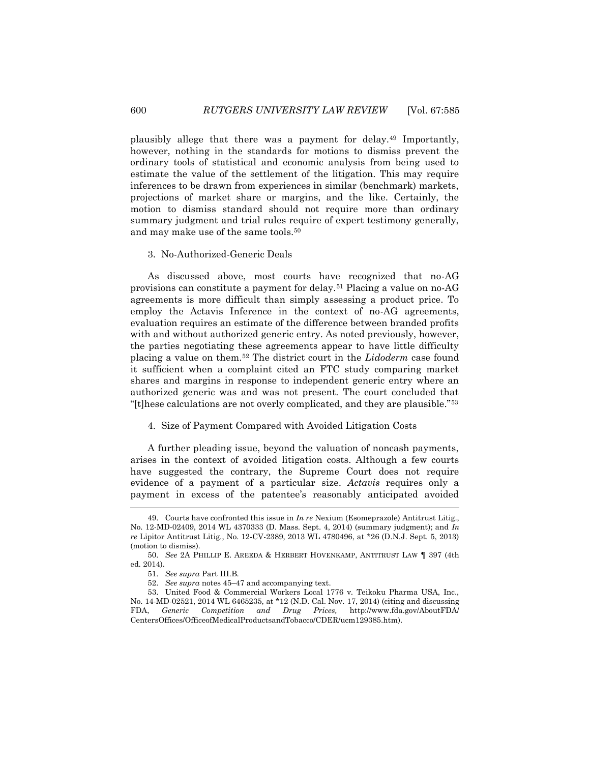plausibly allege that there was a payment for delay.<sup>49</sup> Importantly, however, nothing in the standards for motions to dismiss prevent the ordinary tools of statistical and economic analysis from being used to estimate the value of the settlement of the litigation. This may require inferences to be drawn from experiences in similar (benchmark) markets, projections of market share or margins, and the like. Certainly, the motion to dismiss standard should not require more than ordinary summary judgment and trial rules require of expert testimony generally, and may make use of the same tools.<sup>50</sup>

3. No-Authorized-Generic Deals

As discussed above, most courts have recognized that no-AG provisions can constitute a payment for delay.<sup>51</sup> Placing a value on no-AG agreements is more difficult than simply assessing a product price. To employ the Actavis Inference in the context of no-AG agreements, evaluation requires an estimate of the difference between branded profits with and without authorized generic entry. As noted previously, however, the parties negotiating these agreements appear to have little difficulty placing a value on them.<sup>52</sup> The district court in the *Lidoderm* case found it sufficient when a complaint cited an FTC study comparing market shares and margins in response to independent generic entry where an authorized generic was and was not present. The court concluded that "[t]hese calculations are not overly complicated, and they are plausible."<sup>53</sup>

### 4. Size of Payment Compared with Avoided Litigation Costs

A further pleading issue, beyond the valuation of noncash payments, arises in the context of avoided litigation costs. Although a few courts have suggested the contrary, the Supreme Court does not require evidence of a payment of a particular size. *Actavis* requires only a payment in excess of the patentee's reasonably anticipated avoided

 $\overline{a}$ 

<sup>49.</sup> Courts have confronted this issue in *In re* Nexium (Esomeprazole) Antitrust Litig., No. 12-MD-02409, 2014 WL 4370333 (D. Mass. Sept. 4, 2014) (summary judgment); and *In re* Lipitor Antitrust Litig., No. 12-CV-2389, 2013 WL 4780496, at \*26 (D.N.J. Sept. 5, 2013) (motion to dismiss).

<sup>50.</sup> *See* 2A PHILLIP E. AREEDA & HERBERT HOVENKAMP, ANTITRUST LAW ¶ 397 (4th ed. 2014).

<sup>51.</sup> *See supra* Part III.B.

<sup>52.</sup> *See supra* notes 45–47 and accompanying text.

<sup>53.</sup> United Food & Commercial Workers Local 1776 v. Teikoku Pharma USA, Inc., No. 14-MD-02521, 2014 WL 6465235, at \*12 (N.D. Cal. Nov. 17, 2014) (citing and discussing FDA, *Generic Competition and Drug Prices,* http://www.fda.gov/AboutFDA/ CentersOffices/OfficeofMedicalProductsandTobacco/CDER/ucm129385.htm).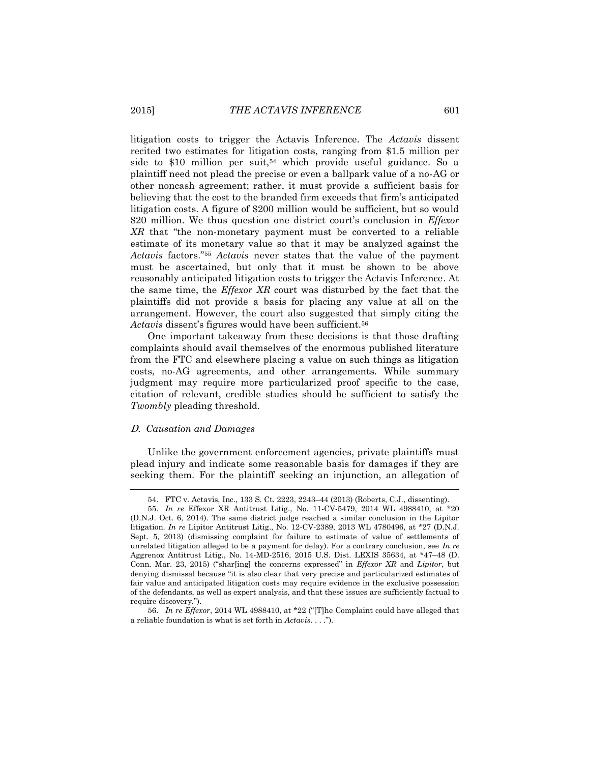litigation costs to trigger the Actavis Inference. The *Actavis* dissent recited two estimates for litigation costs, ranging from \$1.5 million per side to \$10 million per suit,<sup>54</sup> which provide useful guidance. So a plaintiff need not plead the precise or even a ballpark value of a no-AG or other noncash agreement; rather, it must provide a sufficient basis for believing that the cost to the branded firm exceeds that firm's anticipated litigation costs. A figure of \$200 million would be sufficient, but so would \$20 million. We thus question one district court's conclusion in *Effexor XR* that "the non-monetary payment must be converted to a reliable estimate of its monetary value so that it may be analyzed against the *Actavis* factors."<sup>55</sup> *Actavis* never states that the value of the payment must be ascertained, but only that it must be shown to be above reasonably anticipated litigation costs to trigger the Actavis Inference. At the same time, the *Effexor XR* court was disturbed by the fact that the plaintiffs did not provide a basis for placing any value at all on the arrangement. However, the court also suggested that simply citing the Actavis dissent's figures would have been sufficient.<sup>56</sup>

One important takeaway from these decisions is that those drafting complaints should avail themselves of the enormous published literature from the FTC and elsewhere placing a value on such things as litigation costs, no-AG agreements, and other arrangements. While summary judgment may require more particularized proof specific to the case, citation of relevant, credible studies should be sufficient to satisfy the *Twombly* pleading threshold.

### D. *Causation and Damages*

l

Unlike the government enforcement agencies, private plaintiffs must plead injury and indicate some reasonable basis for damages if they are seeking them. For the plaintiff seeking an injunction, an allegation of

<sup>54.</sup> FTC v. Actavis, Inc., 133 S. Ct. 2223, 2243–44 (2013) (Roberts, C.J., dissenting).

<sup>55.</sup> *In re* Effexor XR Antitrust Litig., No. 11-CV-5479, 2014 WL 4988410, at \*20 (D.N.J. Oct. 6, 2014). The same district judge reached a similar conclusion in the Lipitor litigation. *In re* Lipitor Antitrust Litig., No. 12-CV-2389, 2013 WL 4780496, at \*27 (D.N.J. Sept. 5, 2013) (dismissing complaint for failure to estimate of value of settlements of unrelated litigation alleged to be a payment for delay). For a contrary conclusion, see *In re* Aggrenox Antitrust Litig., No. 14-MD-2516, 2015 U.S. Dist. LEXIS 35634, at \*47–48 (D. Conn. Mar. 23, 2015) ("shar[ing] the concerns expressed" in *Effexor XR* and *Lipitor*, but denying dismissal because "it is also clear that very precise and particularized estimates of fair value and anticipated litigation costs may require evidence in the exclusive possession of the defendants, as well as expert analysis, and that these issues are sufficiently factual to require discovery.").

<sup>56.</sup> *In re Effexor*, 2014 WL 4988410, at \*22 ("[T]he Complaint could have alleged that a reliable foundation is what is set forth in *Actavis*. . . .").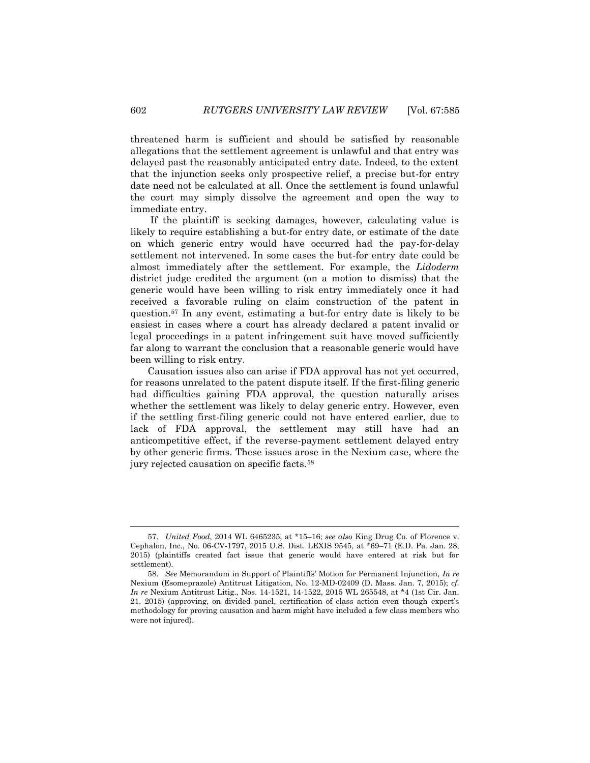threatened harm is sufficient and should be satisfied by reasonable allegations that the settlement agreement is unlawful and that entry was delayed past the reasonably anticipated entry date. Indeed, to the extent that the injunction seeks only prospective relief, a precise but-for entry date need not be calculated at all. Once the settlement is found unlawful the court may simply dissolve the agreement and open the way to immediate entry.

If the plaintiff is seeking damages, however, calculating value is likely to require establishing a but-for entry date, or estimate of the date on which generic entry would have occurred had the pay-for-delay settlement not intervened. In some cases the but-for entry date could be almost immediately after the settlement. For example, the *Lidoderm* district judge credited the argument (on a motion to dismiss) that the generic would have been willing to risk entry immediately once it had received a favorable ruling on claim construction of the patent in question.<sup>57</sup> In any event, estimating a but-for entry date is likely to be easiest in cases where a court has already declared a patent invalid or legal proceedings in a patent infringement suit have moved sufficiently far along to warrant the conclusion that a reasonable generic would have been willing to risk entry.

Causation issues also can arise if FDA approval has not yet occurred, for reasons unrelated to the patent dispute itself. If the first-filing generic had difficulties gaining FDA approval, the question naturally arises whether the settlement was likely to delay generic entry. However, even if the settling first-filing generic could not have entered earlier, due to lack of FDA approval, the settlement may still have had an anticompetitive effect, if the reverse-payment settlement delayed entry by other generic firms. These issues arose in the Nexium case, where the jury rejected causation on specific facts.<sup>58</sup>

<sup>57.</sup> *United Food*, 2014 WL 6465235, at \*15–16; *see also* King Drug Co. of Florence v. Cephalon, Inc., No. 06-CV-1797, 2015 U.S. Dist. LEXIS 9545, at \*69–71 (E.D. Pa. Jan. 28, 2015) (plaintiffs created fact issue that generic would have entered at risk but for settlement).

<sup>58.</sup> *See* Memorandum in Support of Plaintiffs' Motion for Permanent Injunction, *In re* Nexium (Esomeprazole) Antitrust Litigation, No. 12-MD-02409 (D. Mass. Jan. 7, 2015); *cf. In re* Nexium Antitrust Litig., Nos. 14-1521, 14-1522, 2015 WL 265548, at \*4 (1st Cir. Jan. 21, 2015) (approving, on divided panel, certification of class action even though expert's methodology for proving causation and harm might have included a few class members who were not injured).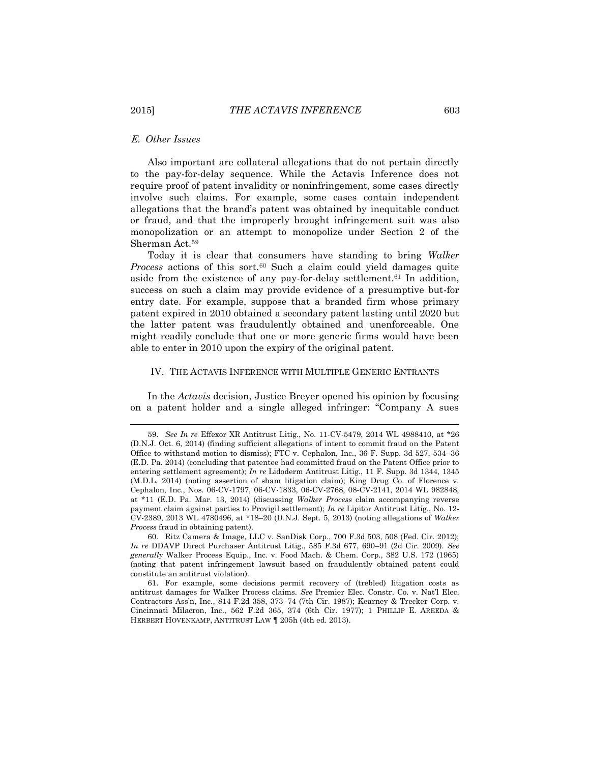### E. *Other Issues*

Also important are collateral allegations that do not pertain directly to the pay-for-delay sequence. While the Actavis Inference does not require proof of patent invalidity or noninfringement, some cases directly involve such claims. For example, some cases contain independent allegations that the brand's patent was obtained by inequitable conduct or fraud, and that the improperly brought infringement suit was also monopolization or an attempt to monopolize under Section 2 of the Sherman Act.<sup>59</sup>

Today it is clear that consumers have standing to bring *Walker Process* actions of this sort.<sup>60</sup> Such a claim could yield damages quite aside from the existence of any pay-for-delay settlement.<sup>61</sup> In addition, success on such a claim may provide evidence of a presumptive but-for entry date. For example, suppose that a branded firm whose primary patent expired in 2010 obtained a secondary patent lasting until 2020 but the latter patent was fraudulently obtained and unenforceable. One might readily conclude that one or more generic firms would have been able to enter in 2010 upon the expiry of the original patent.

### IV. THE ACTAVIS INFERENCE WITH MULTIPLE GENERIC ENTRANTS

In the *Actavis* decision, Justice Breyer opened his opinion by focusing on a patent holder and a single alleged infringer: "Company A sues

<sup>59.</sup> *See In re* Effexor XR Antitrust Litig., No. 11-CV-5479, 2014 WL 4988410, at \*26 (D.N.J. Oct. 6, 2014) (finding sufficient allegations of intent to commit fraud on the Patent Office to withstand motion to dismiss); FTC v. Cephalon, Inc., 36 F. Supp. 3d 527, 534–36 (E.D. Pa. 2014) (concluding that patentee had committed fraud on the Patent Office prior to entering settlement agreement); *In re* Lidoderm Antitrust Litig., 11 F. Supp. 3d 1344, 1345 (M.D.L. 2014) (noting assertion of sham litigation claim); King Drug Co. of Florence v. Cephalon, Inc., Nos. 06-CV-1797, 06-CV-1833, 06-CV-2768, 08-CV-2141, 2014 WL 982848, at \*11 (E.D. Pa. Mar. 13, 2014) (discussing *Walker Process* claim accompanying reverse payment claim against parties to Provigil settlement); *In re* Lipitor Antitrust Litig., No. 12- CV-2389, 2013 WL 4780496, at \*18–20 (D.N.J. Sept. 5, 2013) (noting allegations of *Walker Process* fraud in obtaining patent).

<sup>60.</sup> Ritz Camera & Image, LLC v. SanDisk Corp., 700 F.3d 503, 508 (Fed. Cir. 2012); *In re* DDAVP Direct Purchaser Antitrust Litig., 585 F.3d 677, 690–91 (2d Cir. 2009). *See generally* Walker Process Equip., Inc. v. Food Mach. & Chem. Corp., 382 U.S. 172 (1965) (noting that patent infringement lawsuit based on fraudulently obtained patent could constitute an antitrust violation).

<sup>61.</sup> For example, some decisions permit recovery of (trebled) litigation costs as antitrust damages for Walker Process claims. *See* Premier Elec. Constr. Co. v. Nat'l Elec. Contractors Ass'n, Inc., 814 F.2d 358, 373–74 (7th Cir. 1987); Kearney & Trecker Corp. v. Cincinnati Milacron, Inc., 562 F.2d 365, 374 (6th Cir. 1977); 1 PHILLIP E. AREEDA & HERBERT HOVENKAMP, ANTITRUST LAW ¶ 205h (4th ed. 2013).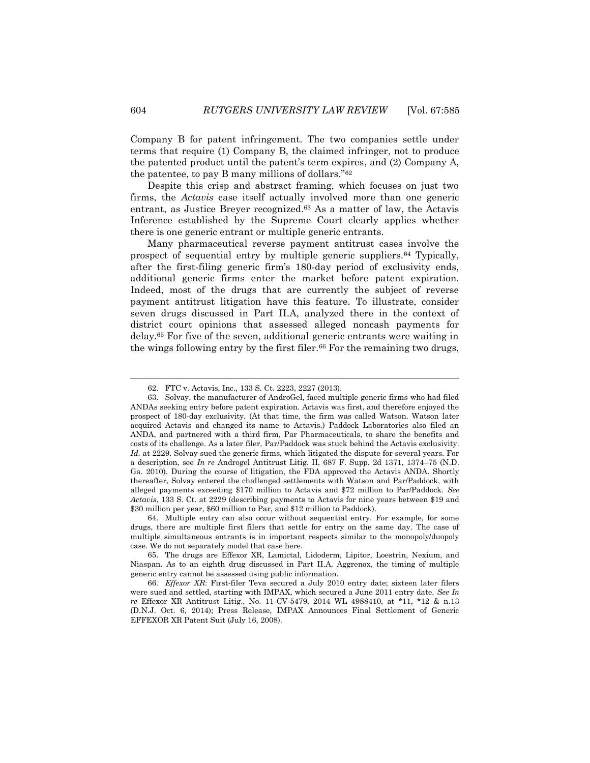Company B for patent infringement. The two companies settle under terms that require (1) Company B, the claimed infringer, not to produce the patented product until the patent's term expires, and (2) Company A, the patentee, to pay B many millions of dollars."<sup>62</sup>

Despite this crisp and abstract framing, which focuses on just two firms, the *Actavis* case itself actually involved more than one generic entrant, as Justice Breyer recognized.<sup>63</sup> As a matter of law, the Actavis Inference established by the Supreme Court clearly applies whether there is one generic entrant or multiple generic entrants.

Many pharmaceutical reverse payment antitrust cases involve the prospect of sequential entry by multiple generic suppliers.<sup>64</sup> Typically, after the first-filing generic firm's 180-day period of exclusivity ends, additional generic firms enter the market before patent expiration. Indeed, most of the drugs that are currently the subject of reverse payment antitrust litigation have this feature. To illustrate, consider seven drugs discussed in Part II.A, analyzed there in the context of district court opinions that assessed alleged noncash payments for delay.<sup>65</sup> For five of the seven, additional generic entrants were waiting in the wings following entry by the first filer.<sup>66</sup> For the remaining two drugs,

64. Multiple entry can also occur without sequential entry. For example, for some drugs, there are multiple first filers that settle for entry on the same day. The case of multiple simultaneous entrants is in important respects similar to the monopoly/duopoly case. We do not separately model that case here.

65. The drugs are Effexor XR, Lamictal, Lidoderm, Lipitor, Loestrin, Nexium, and Niaspan. As to an eighth drug discussed in Part II.A, Aggrenox, the timing of multiple generic entry cannot be assessed using public information.

<sup>62.</sup> FTC v. Actavis, Inc., 133 S. Ct. 2223, 2227 (2013).

<sup>63.</sup> Solvay, the manufacturer of AndroGel, faced multiple generic firms who had filed ANDAs seeking entry before patent expiration. Actavis was first, and therefore enjoyed the prospect of 180-day exclusivity. (At that time, the firm was called Watson. Watson later acquired Actavis and changed its name to Actavis.) Paddock Laboratories also filed an ANDA, and partnered with a third firm, Par Pharmaceuticals, to share the benefits and costs of its challenge. As a later filer, Par/Paddock was stuck behind the Actavis exclusivity. Id. at 2229. Solvay sued the generic firms, which litigated the dispute for several years. For a description, see *In re* Androgel Antitrust Litig. II, 687 F. Supp. 2d 1371, 1374–75 (N.D. Ga. 2010). During the course of litigation, the FDA approved the Actavis ANDA. Shortly thereafter, Solvay entered the challenged settlements with Watson and Par/Paddock, with alleged payments exceeding \$170 million to Actavis and \$72 million to Par/Paddock. *See Actavis*, 133 S. Ct. at 2229 (describing payments to Actavis for nine years between \$19 and \$30 million per year, \$60 million to Par, and \$12 million to Paddock).

<sup>66</sup>*. Effexor XR*: First-filer Teva secured a July 2010 entry date; sixteen later filers were sued and settled, starting with IMPAX, which secured a June 2011 entry date. *See In re* Effexor XR Antitrust Litig., No. 11-CV-5479, 2014 WL 4988410, at \*11, \*12 & n.13 (D.N.J. Oct. 6, 2014); Press Release, IMPAX Announces Final Settlement of Generic EFFEXOR XR Patent Suit (July 16, 2008).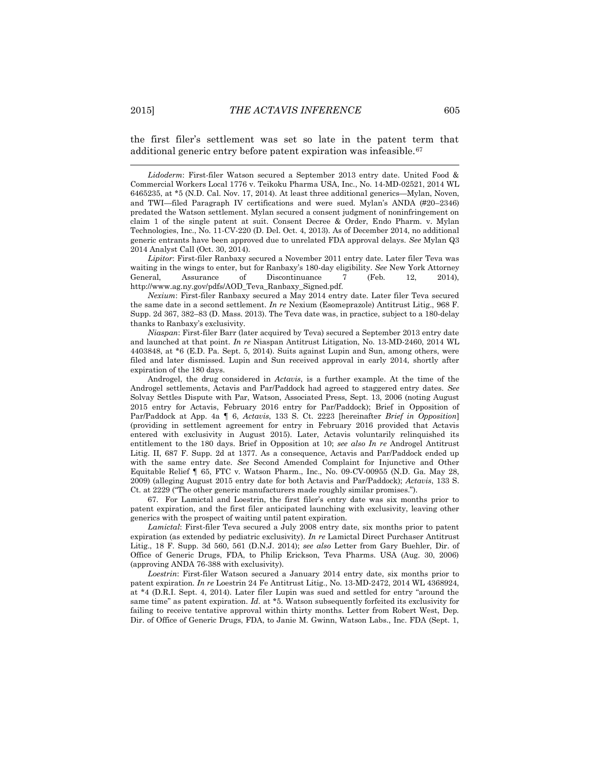the first filer's settlement was set so late in the patent term that additional generic entry before patent expiration was infeasible.<sup>67</sup>

*Lipitor*: First-filer Ranbaxy secured a November 2011 entry date. Later filer Teva was waiting in the wings to enter, but for Ranbaxy's 180-day eligibility. *See* New York Attorney General, Assurance of Discontinuance 7 (Feb. 12, 2014), http://www.ag.ny.gov/pdfs/AOD\_Teva\_Ranbaxy\_Signed.pdf.

*Nexium*: First-filer Ranbaxy secured a May 2014 entry date. Later filer Teva secured the same date in a second settlement. *In re* Nexium (Esomeprazole) Antitrust Litig., 968 F. Supp. 2d 367, 382–83 (D. Mass. 2013). The Teva date was, in practice, subject to a 180-delay thanks to Ranbaxy's exclusivity.

*Niaspan*: First-filer Barr (later acquired by Teva) secured a September 2013 entry date and launched at that point. *In re* Niaspan Antitrust Litigation, No. 13-MD-2460, 2014 WL 4403848, at \*6 (E.D. Pa. Sept. 5, 2014). Suits against Lupin and Sun, among others, were filed and later dismissed. Lupin and Sun received approval in early 2014, shortly after expiration of the 180 days.

Androgel, the drug considered in *Actavis*, is a further example. At the time of the Androgel settlements, Actavis and Par/Paddock had agreed to staggered entry dates. *See* Solvay Settles Dispute with Par, Watson, Associated Press, Sept. 13, 2006 (noting August 2015 entry for Actavis, February 2016 entry for Par/Paddock); Brief in Opposition of Par/Paddock at App. 4a ¶ 6, *Actavis*, 133 S. Ct. 2223 [hereinafter *Brief in Opposition*] (providing in settlement agreement for entry in February 2016 provided that Actavis entered with exclusivity in August 2015). Later, Actavis voluntarily relinquished its entitlement to the 180 days. Brief in Opposition at 10; *see also In re* Androgel Antitrust Litig. II, 687 F. Supp. 2d at 1377. As a consequence, Actavis and Par/Paddock ended up with the same entry date. *See* Second Amended Complaint for Injunctive and Other Equitable Relief ¶ 65, FTC v. Watson Pharm., Inc., No. 09-CV-00955 (N.D. Ga. May 28, 2009) (alleging August 2015 entry date for both Actavis and Par/Paddock); *Actavis*, 133 S. Ct. at 2229 ("The other generic manufacturers made roughly similar promises.").

67. For Lamictal and Loestrin, the first filer's entry date was six months prior to patent expiration, and the first filer anticipated launching with exclusivity, leaving other generics with the prospect of waiting until patent expiration.

*Lamictal*: First-filer Teva secured a July 2008 entry date, six months prior to patent expiration (as extended by pediatric exclusivity). *In re* Lamictal Direct Purchaser Antitrust Litig., 18 F. Supp. 3d 560, 561 (D.N.J. 2014); *see also* Letter from Gary Buehler, Dir. of Office of Generic Drugs, FDA, to Philip Erickson, Teva Pharms. USA (Aug. 30, 2006) (approving ANDA 76-388 with exclusivity).

*Loestrin*: First-filer Watson secured a January 2014 entry date, six months prior to patent expiration. *In re* Loestrin 24 Fe Antitrust Litig., No. 13-MD-2472, 2014 WL 4368924, at \*4 (D.R.I. Sept. 4, 2014). Later filer Lupin was sued and settled for entry "around the same time" as patent expiration. *Id.* at \*5. Watson subsequently forfeited its exclusivity for failing to receive tentative approval within thirty months. Letter from Robert West, Dep. Dir. of Office of Generic Drugs, FDA, to Janie M. Gwinn, Watson Labs., Inc. FDA (Sept. 1,

 $\overline{a}$ 

*Lidoderm*: First-filer Watson secured a September 2013 entry date. United Food & Commercial Workers Local 1776 v. Teikoku Pharma USA, Inc., No. 14-MD-02521, 2014 WL 6465235, at \*5 (N.D. Cal. Nov. 17, 2014). At least three additional generics—Mylan, Noven, and TWI—filed Paragraph IV certifications and were sued. Mylan's ANDA (#20–2346) predated the Watson settlement. Mylan secured a consent judgment of noninfringement on claim 1 of the single patent at suit. Consent Decree & Order, Endo Pharm. v. Mylan Technologies, Inc., No. 11-CV-220 (D. Del. Oct. 4, 2013). As of December 2014, no additional generic entrants have been approved due to unrelated FDA approval delays. *See* Mylan Q3 2014 Analyst Call (Oct. 30, 2014).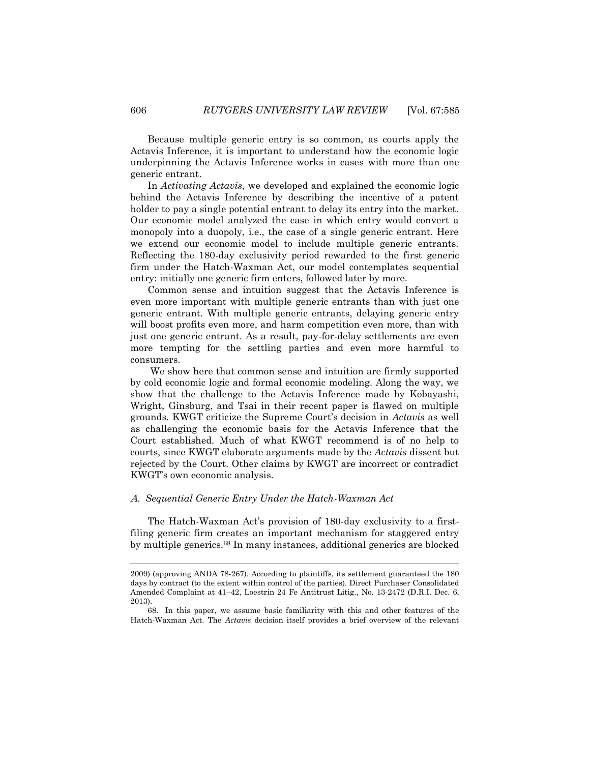Because multiple generic entry is so common, as courts apply the Actavis Inference, it is important to understand how the economic logic underpinning the Actavis Inference works in cases with more than one generic entrant.

In *Activating Actavis*, we developed and explained the economic logic behind the Actavis Inference by describing the incentive of a patent holder to pay a single potential entrant to delay its entry into the market. Our economic model analyzed the case in which entry would convert a monopoly into a duopoly, i.e., the case of a single generic entrant. Here we extend our economic model to include multiple generic entrants. Reflecting the 180-day exclusivity period rewarded to the first generic firm under the Hatch-Waxman Act, our model contemplates sequential entry: initially one generic firm enters, followed later by more.

Common sense and intuition suggest that the Actavis Inference is even more important with multiple generic entrants than with just one generic entrant. With multiple generic entrants, delaying generic entry will boost profits even more, and harm competition even more, than with just one generic entrant. As a result, pay-for-delay settlements are even more tempting for the settling parties and even more harmful to consumers.

We show here that common sense and intuition are firmly supported by cold economic logic and formal economic modeling. Along the way, we show that the challenge to the Actavis Inference made by Kobayashi, Wright, Ginsburg, and Tsai in their recent paper is flawed on multiple grounds. KWGT criticize the Supreme Court's decision in *Actavis* as well as challenging the economic basis for the Actavis Inference that the Court established. Much of what KWGT recommend is of no help to courts, since KWGT elaborate arguments made by the *Actavis* dissent but rejected by the Court. Other claims by KWGT are incorrect or contradict KWGT's own economic analysis.

### A. *Sequential Generic Entry Under the Hatch-Waxman Act*

The Hatch-Waxman Act's provision of 180-day exclusivity to a firstfiling generic firm creates an important mechanism for staggered entry by multiple generics.<sup>68</sup> In many instances, additional generics are blocked

 $\overline{a}$ 

<sup>2009) (</sup>approving ANDA 78-267). According to plaintiffs, its settlement guaranteed the 180 days by contract (to the extent within control of the parties). Direct Purchaser Consolidated Amended Complaint at 41–42, Loestrin 24 Fe Antitrust Litig., No. 13-2472 (D.R.I. Dec. 6, 2013).

<sup>68.</sup> In this paper, we assume basic familiarity with this and other features of the Hatch-Waxman Act. The *Actavis* decision itself provides a brief overview of the relevant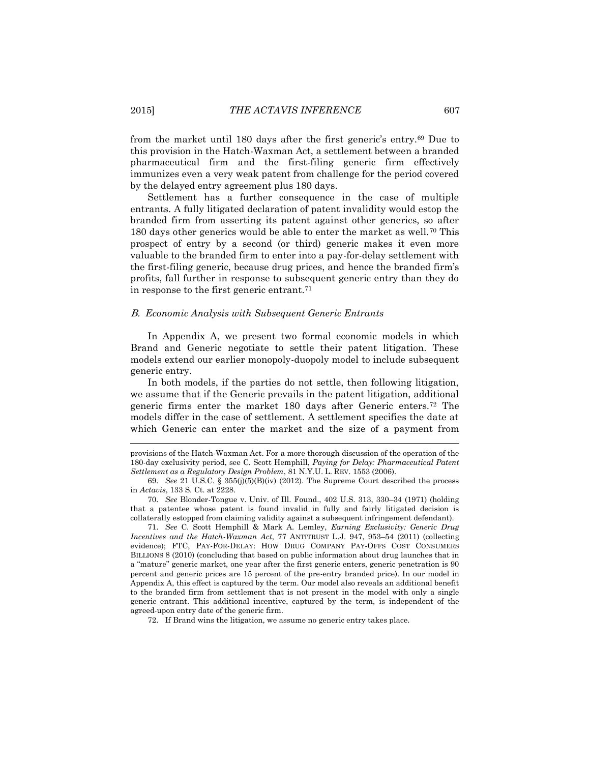from the market until 180 days after the first generic's entry.<sup>69</sup> Due to this provision in the Hatch-Waxman Act, a settlement between a branded pharmaceutical firm and the first-filing generic firm effectively immunizes even a very weak patent from challenge for the period covered by the delayed entry agreement plus 180 days.

Settlement has a further consequence in the case of multiple entrants. A fully litigated declaration of patent invalidity would estop the branded firm from asserting its patent against other generics, so after 180 days other generics would be able to enter the market as well.<sup>70</sup> This prospect of entry by a second (or third) generic makes it even more valuable to the branded firm to enter into a pay-for-delay settlement with the first-filing generic, because drug prices, and hence the branded firm's profits, fall further in response to subsequent generic entry than they do in response to the first generic entrant.<sup>71</sup>

### B. *Economic Analysis with Subsequent Generic Entrants*

In Appendix A, we present two formal economic models in which Brand and Generic negotiate to settle their patent litigation. These models extend our earlier monopoly-duopoly model to include subsequent generic entry.

In both models, if the parties do not settle, then following litigation, we assume that if the Generic prevails in the patent litigation, additional generic firms enter the market 180 days after Generic enters.<sup>72</sup> The models differ in the case of settlement. A settlement specifies the date at which Generic can enter the market and the size of a payment from

72. If Brand wins the litigation, we assume no generic entry takes place.

provisions of the Hatch-Waxman Act. For a more thorough discussion of the operation of the 180-day exclusivity period, see C. Scott Hemphill, *Paying for Delay: Pharmaceutical Patent Settlement as a Regulatory Design Problem*, 81 N.Y.U. L. REV. 1553 (2006).

<sup>69.</sup> *See* 21 U.S.C. § 355(j)(5)(B)(iv) (2012). The Supreme Court described the process in *Actavis*, 133 S. Ct. at 2228.

<sup>70.</sup> *See* Blonder-Tongue v. Univ. of Ill. Found., 402 U.S. 313, 330–34 (1971) (holding that a patentee whose patent is found invalid in fully and fairly litigated decision is collaterally estopped from claiming validity against a subsequent infringement defendant).

<sup>71.</sup> *See* C. Scott Hemphill & Mark A. Lemley, *Earning Exclusivity: Generic Drug Incentives and the Hatch-Waxman Act*, 77 ANTITRUST L.J. 947, 953–54 (2011) (collecting evidence); FTC, PAY-FOR-DELAY: HOW DRUG COMPANY PAY-OFFS COST CONSUMERS BILLIONS 8 (2010) (concluding that based on public information about drug launches that in a "mature" generic market, one year after the first generic enters, generic penetration is 90 percent and generic prices are 15 percent of the pre-entry branded price). In our model in Appendix A, this effect is captured by the term. Our model also reveals an additional benefit to the branded firm from settlement that is not present in the model with only a single generic entrant. This additional incentive, captured by the term, is independent of the agreed-upon entry date of the generic firm.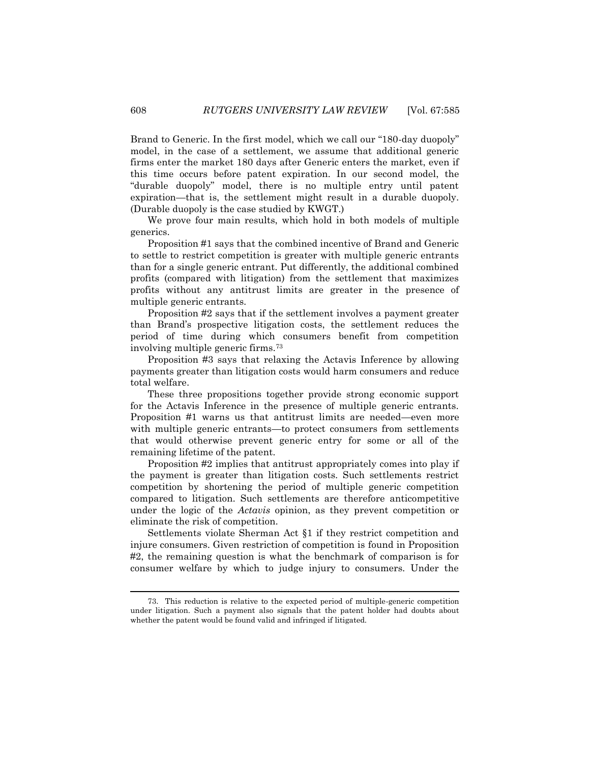Brand to Generic. In the first model, which we call our "180-day duopoly" model, in the case of a settlement, we assume that additional generic firms enter the market 180 days after Generic enters the market, even if this time occurs before patent expiration. In our second model, the "durable duopoly" model, there is no multiple entry until patent expiration—that is, the settlement might result in a durable duopoly. (Durable duopoly is the case studied by KWGT.)

We prove four main results, which hold in both models of multiple generics.

Proposition #1 says that the combined incentive of Brand and Generic to settle to restrict competition is greater with multiple generic entrants than for a single generic entrant. Put differently, the additional combined profits (compared with litigation) from the settlement that maximizes profits without any antitrust limits are greater in the presence of multiple generic entrants.

Proposition #2 says that if the settlement involves a payment greater than Brand's prospective litigation costs, the settlement reduces the period of time during which consumers benefit from competition involving multiple generic firms.<sup>73</sup>

Proposition #3 says that relaxing the Actavis Inference by allowing payments greater than litigation costs would harm consumers and reduce total welfare.

These three propositions together provide strong economic support for the Actavis Inference in the presence of multiple generic entrants. Proposition #1 warns us that antitrust limits are needed—even more with multiple generic entrants—to protect consumers from settlements that would otherwise prevent generic entry for some or all of the remaining lifetime of the patent.

Proposition #2 implies that antitrust appropriately comes into play if the payment is greater than litigation costs. Such settlements restrict competition by shortening the period of multiple generic competition compared to litigation. Such settlements are therefore anticompetitive under the logic of the *Actavis* opinion, as they prevent competition or eliminate the risk of competition.

Settlements violate Sherman Act §1 if they restrict competition and injure consumers. Given restriction of competition is found in Proposition #2, the remaining question is what the benchmark of comparison is for consumer welfare by which to judge injury to consumers. Under the

<sup>73.</sup> This reduction is relative to the expected period of multiple-generic competition under litigation. Such a payment also signals that the patent holder had doubts about whether the patent would be found valid and infringed if litigated.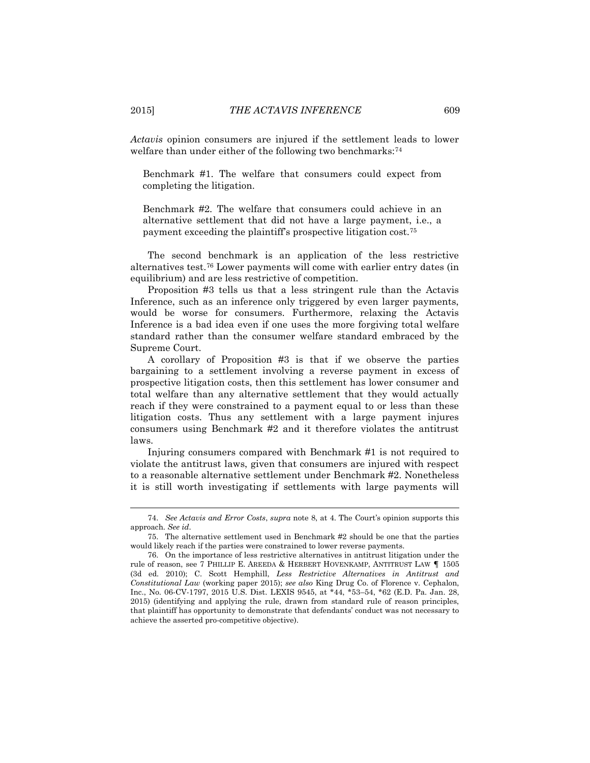*Actavis* opinion consumers are injured if the settlement leads to lower welfare than under either of the following two benchmarks:<sup>74</sup>

Benchmark #1. The welfare that consumers could expect from completing the litigation.

Benchmark #2. The welfare that consumers could achieve in an alternative settlement that did not have a large payment, i.e., a payment exceeding the plaintiff's prospective litigation cost.<sup>75</sup>

The second benchmark is an application of the less restrictive alternatives test.<sup>76</sup> Lower payments will come with earlier entry dates (in equilibrium) and are less restrictive of competition.

Proposition #3 tells us that a less stringent rule than the Actavis Inference, such as an inference only triggered by even larger payments, would be worse for consumers. Furthermore, relaxing the Actavis Inference is a bad idea even if one uses the more forgiving total welfare standard rather than the consumer welfare standard embraced by the Supreme Court.

A corollary of Proposition #3 is that if we observe the parties bargaining to a settlement involving a reverse payment in excess of prospective litigation costs, then this settlement has lower consumer and total welfare than any alternative settlement that they would actually reach if they were constrained to a payment equal to or less than these litigation costs. Thus any settlement with a large payment injures consumers using Benchmark #2 and it therefore violates the antitrust laws.

Injuring consumers compared with Benchmark #1 is not required to violate the antitrust laws, given that consumers are injured with respect to a reasonable alternative settlement under Benchmark #2. Nonetheless it is still worth investigating if settlements with large payments will

 $\overline{a}$ 

<sup>74.</sup> *See Actavis and Error Costs*, *supra* note 8, at 4. The Court's opinion supports this approach. *See id*.

<sup>75.</sup> The alternative settlement used in Benchmark #2 should be one that the parties would likely reach if the parties were constrained to lower reverse payments.

<sup>76.</sup> On the importance of less restrictive alternatives in antitrust litigation under the rule of reason, see 7 PHILLIP E. AREEDA & HERBERT HOVENKAMP, ANTITRUST LAW **¶** 1505 (3d ed. 2010); C. Scott Hemphill, *Less Restrictive Alternatives in Antitrust and Constitutional Law* (working paper 2015); *see also* King Drug Co. of Florence v. Cephalon, Inc., No. 06-CV-1797, 2015 U.S. Dist. LEXIS 9545, at \*44, \*53–54, \*62 (E.D. Pa. Jan. 28, 2015) (identifying and applying the rule, drawn from standard rule of reason principles, that plaintiff has opportunity to demonstrate that defendants' conduct was not necessary to achieve the asserted pro-competitive objective).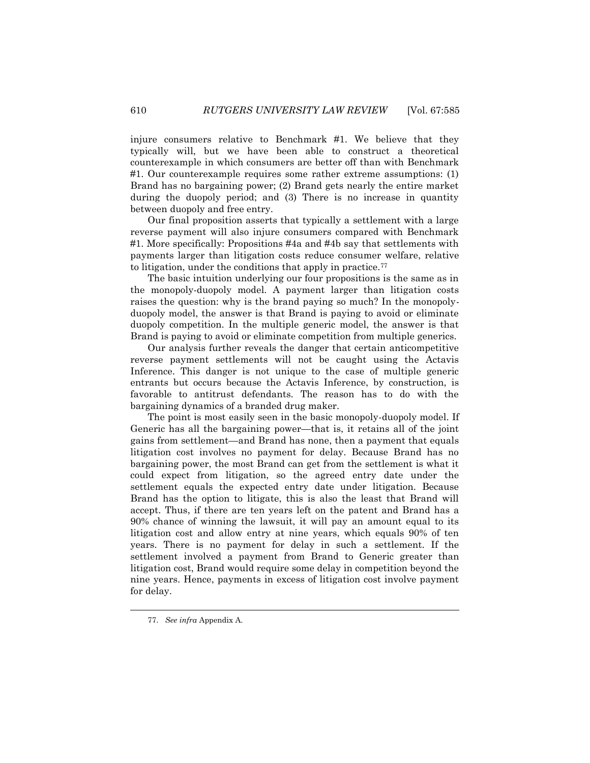injure consumers relative to Benchmark #1. We believe that they typically will, but we have been able to construct a theoretical counterexample in which consumers are better off than with Benchmark #1. Our counterexample requires some rather extreme assumptions: (1) Brand has no bargaining power; (2) Brand gets nearly the entire market during the duopoly period; and (3) There is no increase in quantity between duopoly and free entry.

Our final proposition asserts that typically a settlement with a large reverse payment will also injure consumers compared with Benchmark #1. More specifically: Propositions #4a and #4b say that settlements with payments larger than litigation costs reduce consumer welfare, relative to litigation, under the conditions that apply in practice.<sup>77</sup>

The basic intuition underlying our four propositions is the same as in the monopoly-duopoly model. A payment larger than litigation costs raises the question: why is the brand paying so much? In the monopolyduopoly model, the answer is that Brand is paying to avoid or eliminate duopoly competition. In the multiple generic model, the answer is that Brand is paying to avoid or eliminate competition from multiple generics.

Our analysis further reveals the danger that certain anticompetitive reverse payment settlements will not be caught using the Actavis Inference. This danger is not unique to the case of multiple generic entrants but occurs because the Actavis Inference, by construction, is favorable to antitrust defendants. The reason has to do with the bargaining dynamics of a branded drug maker.

The point is most easily seen in the basic monopoly-duopoly model. If Generic has all the bargaining power—that is, it retains all of the joint gains from settlement—and Brand has none, then a payment that equals litigation cost involves no payment for delay. Because Brand has no bargaining power, the most Brand can get from the settlement is what it could expect from litigation, so the agreed entry date under the settlement equals the expected entry date under litigation. Because Brand has the option to litigate, this is also the least that Brand will accept. Thus, if there are ten years left on the patent and Brand has a 90% chance of winning the lawsuit, it will pay an amount equal to its litigation cost and allow entry at nine years, which equals 90% of ten years. There is no payment for delay in such a settlement. If the settlement involved a payment from Brand to Generic greater than litigation cost, Brand would require some delay in competition beyond the nine years. Hence, payments in excess of litigation cost involve payment for delay.

77. *See infra* Appendix A.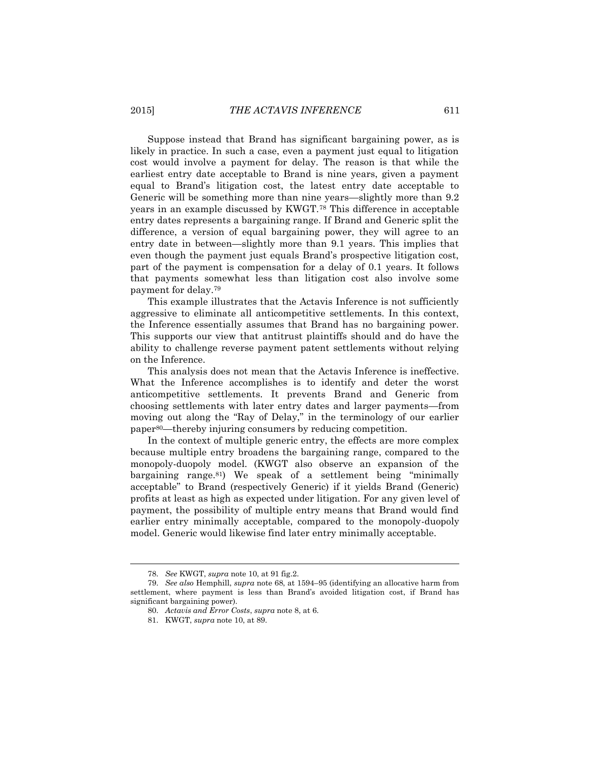Suppose instead that Brand has significant bargaining power, as is likely in practice. In such a case, even a payment just equal to litigation cost would involve a payment for delay. The reason is that while the earliest entry date acceptable to Brand is nine years, given a payment equal to Brand's litigation cost, the latest entry date acceptable to Generic will be something more than nine years—slightly more than 9.2 years in an example discussed by KWGT.<sup>78</sup> This difference in acceptable entry dates represents a bargaining range. If Brand and Generic split the difference, a version of equal bargaining power, they will agree to an entry date in between—slightly more than 9.1 years. This implies that even though the payment just equals Brand's prospective litigation cost, part of the payment is compensation for a delay of 0.1 years. It follows that payments somewhat less than litigation cost also involve some payment for delay.<sup>79</sup>

This example illustrates that the Actavis Inference is not sufficiently aggressive to eliminate all anticompetitive settlements. In this context, the Inference essentially assumes that Brand has no bargaining power. This supports our view that antitrust plaintiffs should and do have the ability to challenge reverse payment patent settlements without relying on the Inference.

This analysis does not mean that the Actavis Inference is ineffective. What the Inference accomplishes is to identify and deter the worst anticompetitive settlements. It prevents Brand and Generic from choosing settlements with later entry dates and larger payments—from moving out along the "Ray of Delay," in the terminology of our earlier paper80—thereby injuring consumers by reducing competition.

In the context of multiple generic entry, the effects are more complex because multiple entry broadens the bargaining range, compared to the monopoly-duopoly model. (KWGT also observe an expansion of the bargaining range.81) We speak of a settlement being "minimally acceptable" to Brand (respectively Generic) if it yields Brand (Generic) profits at least as high as expected under litigation. For any given level of payment, the possibility of multiple entry means that Brand would find earlier entry minimally acceptable, compared to the monopoly-duopoly model. Generic would likewise find later entry minimally acceptable.

 $\overline{a}$ 

<sup>78.</sup> *See* KWGT, *supra* note 10, at 91 fig.2.

<sup>79.</sup> *See also* Hemphill, *supra* note 68, at 1594–95 (identifying an allocative harm from settlement, where payment is less than Brand's avoided litigation cost, if Brand has significant bargaining power).

<sup>80.</sup> *Actavis and Error Costs*, *supra* note 8, at 6.

<sup>81.</sup> KWGT, *supra* note 10, at 89.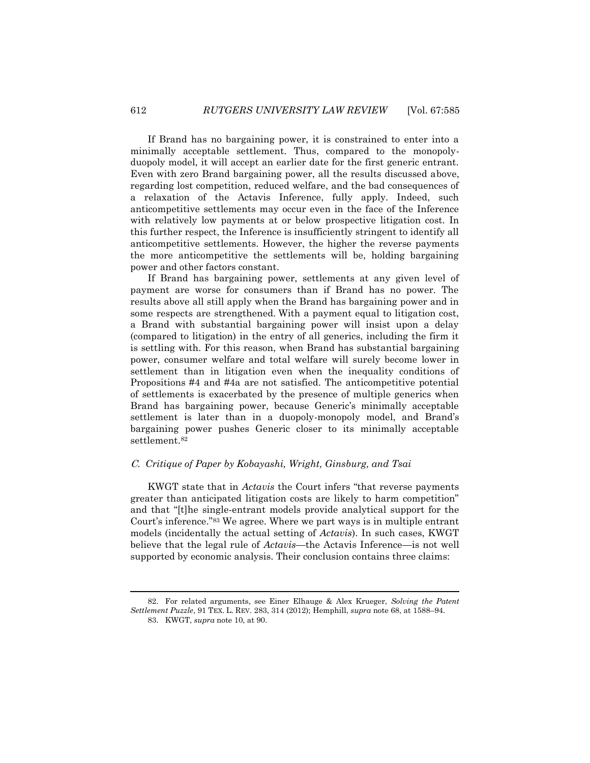If Brand has no bargaining power, it is constrained to enter into a minimally acceptable settlement. Thus, compared to the monopolyduopoly model, it will accept an earlier date for the first generic entrant. Even with zero Brand bargaining power, all the results discussed above, regarding lost competition, reduced welfare, and the bad consequences of a relaxation of the Actavis Inference, fully apply. Indeed, such anticompetitive settlements may occur even in the face of the Inference with relatively low payments at or below prospective litigation cost. In this further respect, the Inference is insufficiently stringent to identify all anticompetitive settlements. However, the higher the reverse payments the more anticompetitive the settlements will be, holding bargaining power and other factors constant.

If Brand has bargaining power, settlements at any given level of payment are worse for consumers than if Brand has no power. The results above all still apply when the Brand has bargaining power and in some respects are strengthened. With a payment equal to litigation cost, a Brand with substantial bargaining power will insist upon a delay (compared to litigation) in the entry of all generics, including the firm it is settling with. For this reason, when Brand has substantial bargaining power, consumer welfare and total welfare will surely become lower in settlement than in litigation even when the inequality conditions of Propositions #4 and #4a are not satisfied. The anticompetitive potential of settlements is exacerbated by the presence of multiple generics when Brand has bargaining power, because Generic's minimally acceptable settlement is later than in a duopoly-monopoly model, and Brand's bargaining power pushes Generic closer to its minimally acceptable settlement.<sup>82</sup>

### C. *Critique of Paper by Kobayashi, Wright, Ginsburg, and Tsai*

KWGT state that in *Actavis* the Court infers "that reverse payments greater than anticipated litigation costs are likely to harm competition" and that "[t]he single-entrant models provide analytical support for the Court's inference."<sup>83</sup> We agree. Where we part ways is in multiple entrant models (incidentally the actual setting of *Actavis*). In such cases, KWGT believe that the legal rule of *Actavis*—the Actavis Inference—is not well supported by economic analysis. Their conclusion contains three claims:

<sup>82.</sup> For related arguments, see Einer Elhauge & Alex Krueger, *Solving the Patent Settlement Puzzle*, 91 TEX. L. REV. 283, 314 (2012); Hemphill, *supra* note 68, at 1588–94.

<sup>83.</sup> KWGT, *supra* note 10, at 90.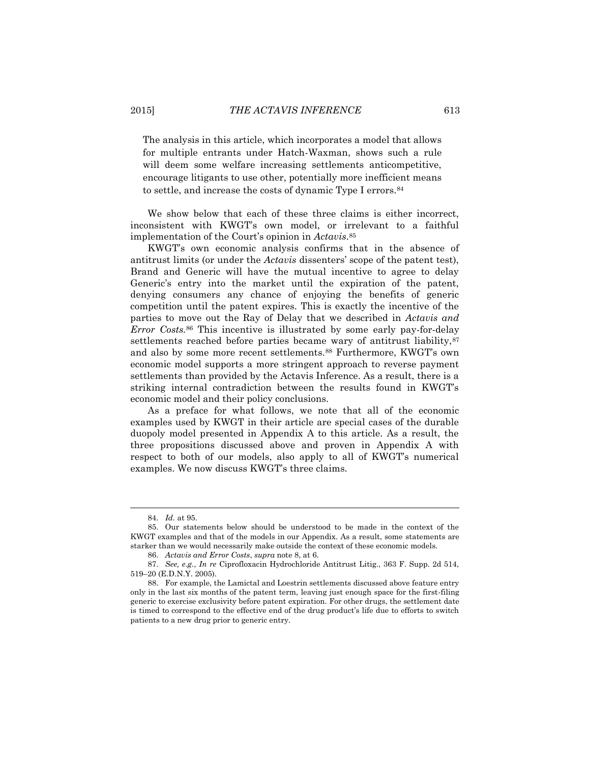The analysis in this article, which incorporates a model that allows for multiple entrants under Hatch-Waxman, shows such a rule will deem some welfare increasing settlements anticompetitive, encourage litigants to use other, potentially more inefficient means to settle, and increase the costs of dynamic Type I errors.<sup>84</sup>

We show below that each of these three claims is either incorrect. inconsistent with KWGT's own model, or irrelevant to a faithful implementation of the Court's opinion in *Actavis*. 85

KWGT's own economic analysis confirms that in the absence of antitrust limits (or under the *Actavis* dissenters' scope of the patent test), Brand and Generic will have the mutual incentive to agree to delay Generic's entry into the market until the expiration of the patent, denying consumers any chance of enjoying the benefits of generic competition until the patent expires. This is exactly the incentive of the parties to move out the Ray of Delay that we described in *Actavis and Error Costs.*<sup>86</sup> This incentive is illustrated by some early pay-for-delay settlements reached before parties became wary of antitrust liability,  $87$ and also by some more recent settlements.<sup>88</sup> Furthermore, KWGT's own economic model supports a more stringent approach to reverse payment settlements than provided by the Actavis Inference. As a result, there is a striking internal contradiction between the results found in KWGT's economic model and their policy conclusions.

As a preface for what follows, we note that all of the economic examples used by KWGT in their article are special cases of the durable duopoly model presented in Appendix A to this article. As a result, the three propositions discussed above and proven in Appendix A with respect to both of our models, also apply to all of KWGT's numerical examples. We now discuss KWGT's three claims.

 $\overline{a}$ 

<sup>84.</sup> *Id.* at 95.

<sup>85.</sup> Our statements below should be understood to be made in the context of the KWGT examples and that of the models in our Appendix. As a result, some statements are starker than we would necessarily make outside the context of these economic models.

<sup>86.</sup> *Actavis and Error Costs*, *supra* note 8, at 6.

<sup>87.</sup> *See, e.g.*, *In re* Ciprofloxacin Hydrochloride Antitrust Litig., 363 F. Supp. 2d 514, 519–20 (E.D.N.Y. 2005).

<sup>88.</sup> For example, the Lamictal and Loestrin settlements discussed above feature entry only in the last six months of the patent term, leaving just enough space for the first-filing generic to exercise exclusivity before patent expiration. For other drugs, the settlement date is timed to correspond to the effective end of the drug product's life due to efforts to switch patients to a new drug prior to generic entry.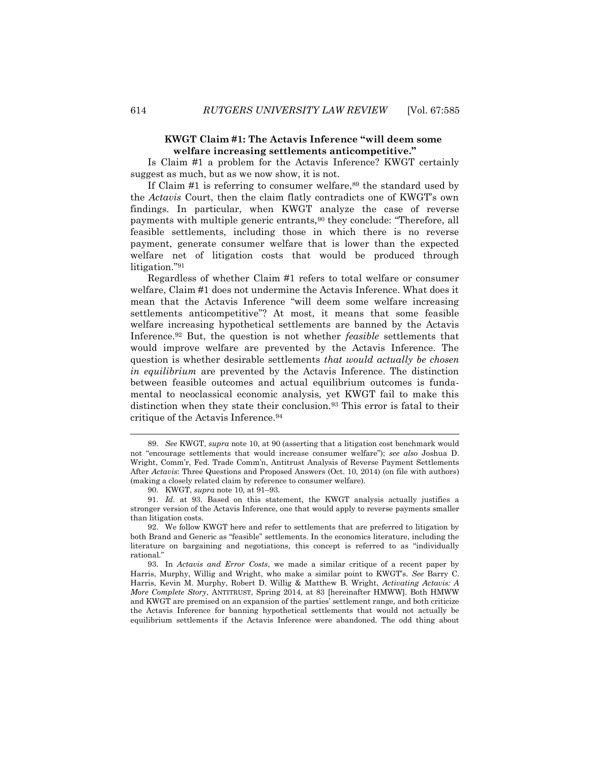### **KWGT Claim #1: The Actavis Inference "will deem some welfare increasing settlements anticompetitive."**

Is Claim #1 a problem for the Actavis Inference? KWGT certainly suggest as much, but as we now show, it is not.

If Claim  $#1$  is referring to consumer welfare, $89$  the standard used by the *Actavis* Court, then the claim flatly contradicts one of KWGT's own findings. In particular, when KWGT analyze the case of reverse payments with multiple generic entrants,<sup>90</sup> they conclude: "Therefore, all feasible settlements, including those in which there is no reverse payment, generate consumer welfare that is lower than the expected welfare net of litigation costs that would be produced through litigation."<sup>91</sup>

Regardless of whether Claim #1 refers to total welfare or consumer welfare, Claim #1 does not undermine the Actavis Inference. What does it mean that the Actavis Inference "will deem some welfare increasing settlements anticompetitive"? At most, it means that some feasible welfare increasing hypothetical settlements are banned by the Actavis Inference.<sup>92</sup> But, the question is not whether *feasible* settlements that would improve welfare are prevented by the Actavis Inference. The question is whether desirable settlements *that would actually be chosen in equilibrium* are prevented by the Actavis Inference. The distinction between feasible outcomes and actual equilibrium outcomes is fundamental to neoclassical economic analysis, yet KWGT fail to make this distinction when they state their conclusion.<sup>93</sup> This error is fatal to their critique of the Actavis Inference.<sup>94</sup>

<sup>89.</sup> *See* KWGT, *supra* note 10, at 90 (asserting that a litigation cost benchmark would not "encourage settlements that would increase consumer welfare"); *see also* Joshua D. Wright, Comm'r, Fed. Trade Comm'n, Antitrust Analysis of Reverse Payment Settlements After *Actavis*: Three Questions and Proposed Answers (Oct. 10, 2014) (on file with authors) (making a closely related claim by reference to consumer welfare).

<sup>90.</sup> KWGT, *supra* note 10, at 91–93.

<sup>91.</sup> *Id.* at 93. Based on this statement, the KWGT analysis actually justifies a stronger version of the Actavis Inference, one that would apply to reverse payments smaller than litigation costs.

<sup>92.</sup> We follow KWGT here and refer to settlements that are preferred to litigation by both Brand and Generic as "feasible" settlements. In the economics literature, including the literature on bargaining and negotiations, this concept is referred to as "individually rational'

<sup>93.</sup> In *Actavis and Error Costs*, we made a similar critique of a recent paper by Harris, Murphy, Willig and Wright, who make a similar point to KWGT's. *See* Barry C. Harris, Kevin M. Murphy, Robert D. Willig & Matthew B. Wright, *Activating Actavis: A More Complete Story*, ANTITRUST, Spring 2014, at 83 [hereinafter HMWW]. Both HMWW and KWGT are premised on an expansion of the parties' settlement range, and both criticize the Actavis Inference for banning hypothetical settlements that would not actually be equilibrium settlements if the Actavis Inference were abandoned. The odd thing about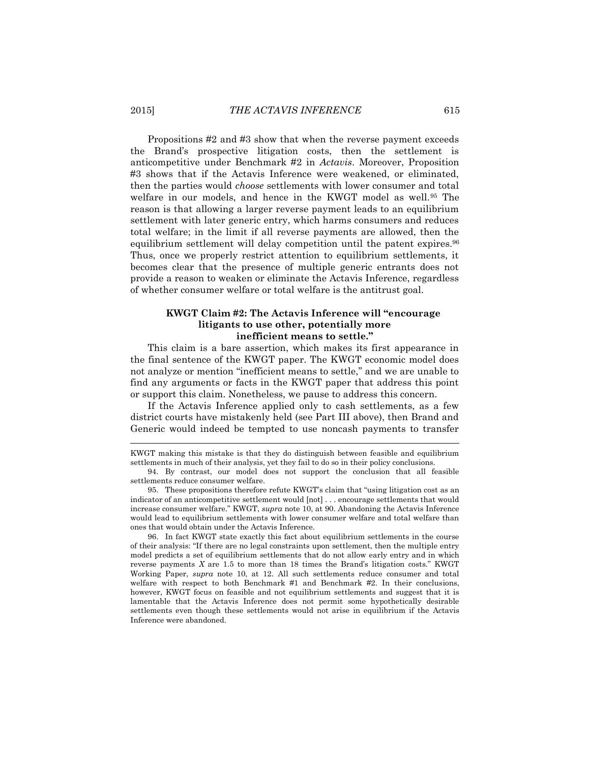Propositions #2 and #3 show that when the reverse payment exceeds the Brand's prospective litigation costs, then the settlement is anticompetitive under Benchmark #2 in *Actavis*. Moreover, Proposition #3 shows that if the Actavis Inference were weakened, or eliminated, then the parties would *choose* settlements with lower consumer and total welfare in our models, and hence in the KWGT model as well.<sup>95</sup> The reason is that allowing a larger reverse payment leads to an equilibrium settlement with later generic entry, which harms consumers and reduces total welfare; in the limit if all reverse payments are allowed, then the equilibrium settlement will delay competition until the patent expires.<sup>96</sup> Thus, once we properly restrict attention to equilibrium settlements, it becomes clear that the presence of multiple generic entrants does not provide a reason to weaken or eliminate the Actavis Inference, regardless of whether consumer welfare or total welfare is the antitrust goal.

## **KWGT Claim #2: The Actavis Inference will "encourage litigants to use other, potentially more inefficient means to settle."**

This claim is a bare assertion, which makes its first appearance in the final sentence of the KWGT paper. The KWGT economic model does not analyze or mention "inefficient means to settle," and we are unable to find any arguments or facts in the KWGT paper that address this point or support this claim. Nonetheless, we pause to address this concern.

If the Actavis Inference applied only to cash settlements, as a few district courts have mistakenly held (see Part III above), then Brand and Generic would indeed be tempted to use noncash payments to transfer

KWGT making this mistake is that they do distinguish between feasible and equilibrium settlements in much of their analysis, yet they fail to do so in their policy conclusions.

96. In fact KWGT state exactly this fact about equilibrium settlements in the course of their analysis: "If there are no legal constraints upon settlement, then the multiple entry model predicts a set of equilibrium settlements that do not allow early entry and in which reverse payments *X* are 1.5 to more than 18 times the Brand's litigation costs." KWGT Working Paper, *supra* note 10, at 12. All such settlements reduce consumer and total welfare with respect to both Benchmark #1 and Benchmark #2. In their conclusions, however, KWGT focus on feasible and not equilibrium settlements and suggest that it is lamentable that the Actavis Inference does not permit some hypothetically desirable settlements even though these settlements would not arise in equilibrium if the Actavis Inference were abandoned.

<sup>94.</sup> By contrast, our model does not support the conclusion that all feasible settlements reduce consumer welfare.

<sup>95.</sup> These propositions therefore refute KWGT's claim that "using litigation cost as an indicator of an anticompetitive settlement would [not] . . . encourage settlements that would increase consumer welfare." KWGT, *supra* not[e 10,](#page-4-0) at 90. Abandoning the Actavis Inference would lead to equilibrium settlements with lower consumer welfare and total welfare than ones that would obtain under the Actavis Inference.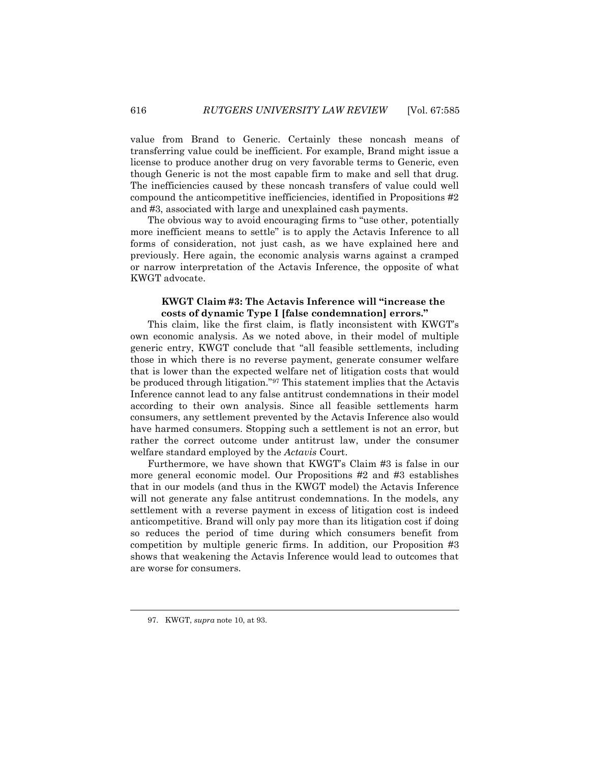value from Brand to Generic. Certainly these noncash means of transferring value could be inefficient. For example, Brand might issue a license to produce another drug on very favorable terms to Generic, even though Generic is not the most capable firm to make and sell that drug. The inefficiencies caused by these noncash transfers of value could well compound the anticompetitive inefficiencies, identified in Propositions #2 and #3, associated with large and unexplained cash payments.

The obvious way to avoid encouraging firms to "use other, potentially more inefficient means to settle" is to apply the Actavis Inference to all forms of consideration, not just cash, as we have explained here and previously. Here again, the economic analysis warns against a cramped or narrow interpretation of the Actavis Inference, the opposite of what KWGT advocate.

## **KWGT Claim #3: The Actavis Inference will "increase the costs of dynamic Type I [false condemnation] errors."**

This claim, like the first claim, is flatly inconsistent with KWGT's own economic analysis. As we noted above, in their model of multiple generic entry, KWGT conclude that "all feasible settlements, including those in which there is no reverse payment, generate consumer welfare that is lower than the expected welfare net of litigation costs that would be produced through litigation."<sup>97</sup> This statement implies that the Actavis Inference cannot lead to any false antitrust condemnations in their model according to their own analysis. Since all feasible settlements harm consumers, any settlement prevented by the Actavis Inference also would have harmed consumers. Stopping such a settlement is not an error, but rather the correct outcome under antitrust law, under the consumer welfare standard employed by the *Actavis* Court.

Furthermore, we have shown that KWGT's Claim #3 is false in our more general economic model. Our Propositions #2 and #3 establishes that in our models (and thus in the KWGT model) the Actavis Inference will not generate any false antitrust condemnations. In the models, any settlement with a reverse payment in excess of litigation cost is indeed anticompetitive. Brand will only pay more than its litigation cost if doing so reduces the period of time during which consumers benefit from competition by multiple generic firms. In addition, our Proposition #3 shows that weakening the Actavis Inference would lead to outcomes that are worse for consumers.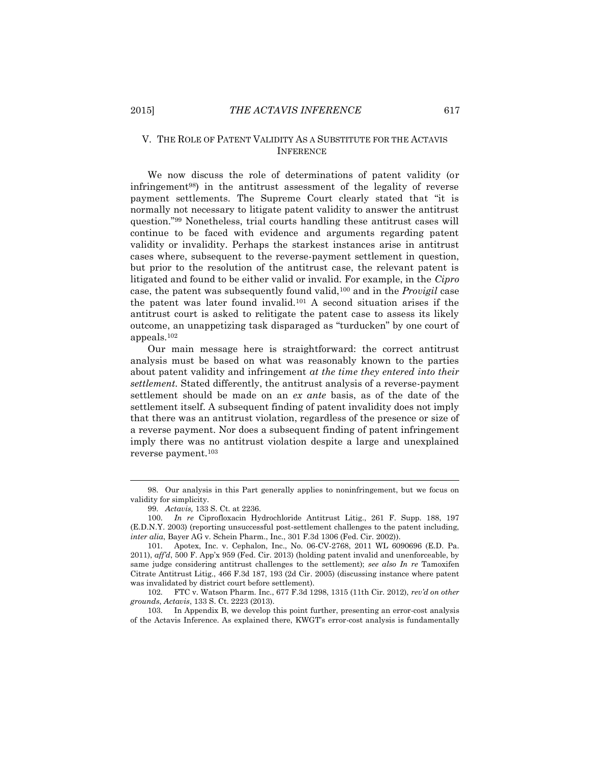## V. THE ROLE OF PATENT VALIDITY AS A SUBSTITUTE FOR THE ACTAVIS **INFERENCE**

We now discuss the role of determinations of patent validity (or infringement98) in the antitrust assessment of the legality of reverse payment settlements. The Supreme Court clearly stated that "it is normally not necessary to litigate patent validity to answer the antitrust question."<sup>99</sup> Nonetheless, trial courts handling these antitrust cases will continue to be faced with evidence and arguments regarding patent validity or invalidity. Perhaps the starkest instances arise in antitrust cases where, subsequent to the reverse-payment settlement in question, but prior to the resolution of the antitrust case, the relevant patent is litigated and found to be either valid or invalid. For example, in the *Cipro* case, the patent was subsequently found valid,<sup>100</sup> and in the *Provigil* case the patent was later found invalid.<sup>101</sup> A second situation arises if the antitrust court is asked to relitigate the patent case to assess its likely outcome, an unappetizing task disparaged as "turducken" by one court of appeals.<sup>102</sup>

Our main message here is straightforward: the correct antitrust analysis must be based on what was reasonably known to the parties about patent validity and infringement *at the time they entered into their settlement.* Stated differently, the antitrust analysis of a reverse-payment settlement should be made on an *ex ante* basis, as of the date of the settlement itself. A subsequent finding of patent invalidity does not imply that there was an antitrust violation, regardless of the presence or size of a reverse payment. Nor does a subsequent finding of patent infringement imply there was no antitrust violation despite a large and unexplained reverse payment.<sup>103</sup>

<sup>98.</sup> Our analysis in this Part generally applies to noninfringement, but we focus on validity for simplicity.

<sup>99.</sup> *Actavis,* 133 S. Ct. at 2236.

<sup>100.</sup> *In re* Ciprofloxacin Hydrochloride Antitrust Litig., 261 F. Supp. 188, 197 (E.D.N.Y. 2003) (reporting unsuccessful post-settlement challenges to the patent including, *inter alia*, Bayer AG v. Schein Pharm., Inc., 301 F.3d 1306 (Fed. Cir. 2002)).

<sup>101.</sup> Apotex, Inc. v. Cephalon, Inc., No. 06-CV-2768, 2011 WL 6090696 (E.D. Pa. 2011), *aff'd*, 500 F. App'x 959 (Fed. Cir. 2013) (holding patent invalid and unenforceable, by same judge considering antitrust challenges to the settlement); *see also In re* Tamoxifen Citrate Antitrust Litig., 466 F.3d 187, 193 (2d Cir. 2005) (discussing instance where patent was invalidated by district court before settlement).

<sup>102.</sup> FTC v. Watson Pharm. Inc., 677 F.3d 1298, 1315 (11th Cir. 2012), *rev'd on other grounds*, *Actavis*, 133 S. Ct. 2223 (2013).

<sup>103.</sup> In Appendix B, we develop this point further, presenting an error-cost analysis of the Actavis Inference. As explained there, KWGT's error-cost analysis is fundamentally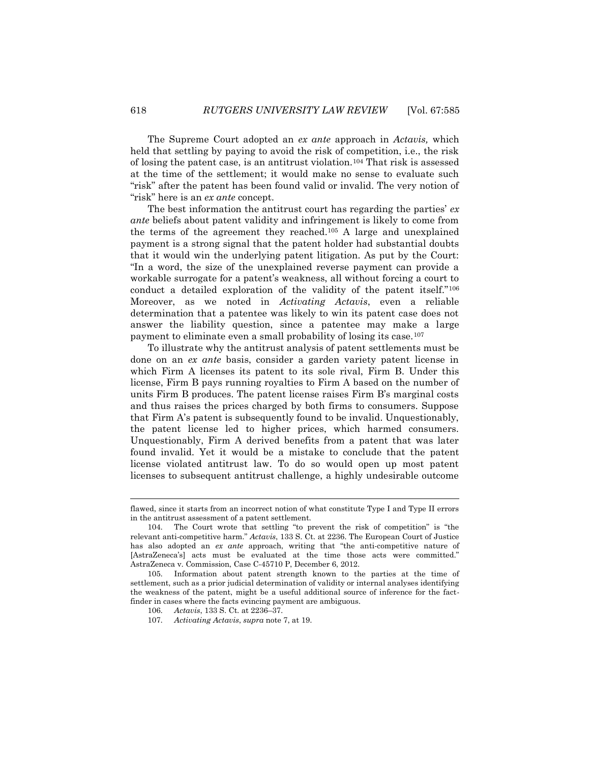The Supreme Court adopted an *ex ante* approach in *Actavis,* which held that settling by paying to avoid the risk of competition, i.e., the risk of losing the patent case, is an antitrust violation.<sup>104</sup> That risk is assessed at the time of the settlement; it would make no sense to evaluate such "risk" after the patent has been found valid or invalid. The very notion of "risk" here is an *ex ante* concept.

The best information the antitrust court has regarding the parties' *ex ante* beliefs about patent validity and infringement is likely to come from the terms of the agreement they reached.<sup>105</sup> A large and unexplained payment is a strong signal that the patent holder had substantial doubts that it would win the underlying patent litigation. As put by the Court: "In a word, the size of the unexplained reverse payment can provide a workable surrogate for a patent's weakness, all without forcing a court to conduct a detailed exploration of the validity of the patent itself."<sup>106</sup> Moreover, as we noted in *Activating Actavis*, even a reliable determination that a patentee was likely to win its patent case does not answer the liability question, since a patentee may make a large payment to eliminate even a small probability of losing its case.<sup>107</sup>

To illustrate why the antitrust analysis of patent settlements must be done on an *ex ante* basis, consider a garden variety patent license in which Firm A licenses its patent to its sole rival, Firm B. Under this license, Firm B pays running royalties to Firm A based on the number of units Firm B produces. The patent license raises Firm B's marginal costs and thus raises the prices charged by both firms to consumers. Suppose that Firm A's patent is subsequently found to be invalid. Unquestionably, the patent license led to higher prices, which harmed consumers. Unquestionably, Firm A derived benefits from a patent that was later found invalid. Yet it would be a mistake to conclude that the patent license violated antitrust law. To do so would open up most patent licenses to subsequent antitrust challenge, a highly undesirable outcome

flawed, since it starts from an incorrect notion of what constitute Type I and Type II errors in the antitrust assessment of a patent settlement.

<sup>104.</sup> The Court wrote that settling "to prevent the risk of competition" is "the relevant anti-competitive harm." *Actavis*, 133 S. Ct. at 2236. The European Court of Justice has also adopted an *ex ante* approach, writing that "the anti-competitive nature of [AstraZeneca's] acts must be evaluated at the time those acts were committed." AstraZeneca v. Commission, Case C-45710 P, December 6, 2012.

<sup>105.</sup> Information about patent strength known to the parties at the time of settlement, such as a prior judicial determination of validity or internal analyses identifying the weakness of the patent, might be a useful additional source of inference for the factfinder in cases where the facts evincing payment are ambiguous.

<sup>106.</sup> *Actavis*, 133 S. Ct. at 2236–37.

<sup>107.</sup> *Activating Actavis*, *supra* note 7, at 19.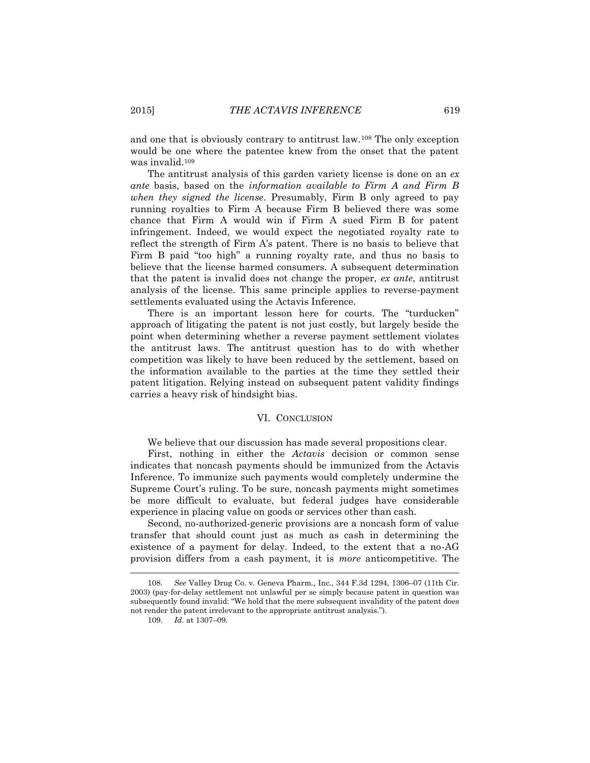and one that is obviously contrary to antitrust law.<sup>108</sup> The only exception would be one where the patentee knew from the onset that the patent was invalid.<sup>109</sup>

The antitrust analysis of this garden variety license is done on an *ex ante* basis, based on the *information available to Firm A and Firm B when they signed the license*. Presumably, Firm B only agreed to pay running royalties to Firm A because Firm B believed there was some chance that Firm A would win if Firm A sued Firm B for patent infringement. Indeed, we would expect the negotiated royalty rate to reflect the strength of Firm A's patent. There is no basis to believe that Firm B paid "too high" a running royalty rate, and thus no basis to believe that the license harmed consumers. A subsequent determination that the patent is invalid does not change the proper, *ex ante*, antitrust analysis of the license. This same principle applies to reverse-payment settlements evaluated using the Actavis Inference.

There is an important lesson here for courts. The "turducken" approach of litigating the patent is not just costly, but largely beside the point when determining whether a reverse payment settlement violates the antitrust laws. The antitrust question has to do with whether competition was likely to have been reduced by the settlement, based on the information available to the parties at the time they settled their patent litigation. Relying instead on subsequent patent validity findings carries a heavy risk of hindsight bias.

### VI. CONCLUSION

We believe that our discussion has made several propositions clear.

First, nothing in either the *Actavis* decision or common sense indicates that noncash payments should be immunized from the Actavis Inference. To immunize such payments would completely undermine the Supreme Court's ruling. To be sure, noncash payments might sometimes be more difficult to evaluate, but federal judges have considerable experience in placing value on goods or services other than cash.

Second, no-authorized-generic provisions are a noncash form of value transfer that should count just as much as cash in determining the existence of a payment for delay. Indeed, to the extent that a no-AG provision differs from a cash payment, it is *more* anticompetitive. The

<sup>108.</sup> *See* Valley Drug Co. v. Geneva Pharm., Inc., 344 F.3d 1294, 1306–07 (11th Cir. 2003) (pay-for-delay settlement not unlawful per se simply because patent in question was subsequently found invalid: "We hold that the mere subsequent invalidity of the patent does not render the patent irrelevant to the appropriate antitrust analysis.").

<sup>109.</sup> *Id.* at 1307–09.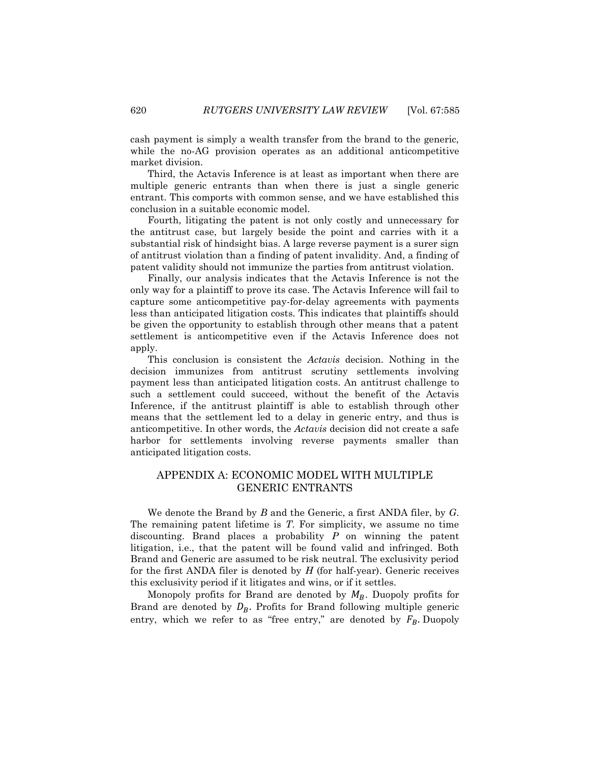cash payment is simply a wealth transfer from the brand to the generic, while the no-AG provision operates as an additional anticompetitive market division.

Third, the Actavis Inference is at least as important when there are multiple generic entrants than when there is just a single generic entrant. This comports with common sense, and we have established this conclusion in a suitable economic model.

Fourth, litigating the patent is not only costly and unnecessary for the antitrust case, but largely beside the point and carries with it a substantial risk of hindsight bias. A large reverse payment is a surer sign of antitrust violation than a finding of patent invalidity. And, a finding of patent validity should not immunize the parties from antitrust violation.

Finally, our analysis indicates that the Actavis Inference is not the only way for a plaintiff to prove its case. The Actavis Inference will fail to capture some anticompetitive pay-for-delay agreements with payments less than anticipated litigation costs. This indicates that plaintiffs should be given the opportunity to establish through other means that a patent settlement is anticompetitive even if the Actavis Inference does not apply.

This conclusion is consistent the *Actavis* decision. Nothing in the decision immunizes from antitrust scrutiny settlements involving payment less than anticipated litigation costs. An antitrust challenge to such a settlement could succeed, without the benefit of the Actavis Inference, if the antitrust plaintiff is able to establish through other means that the settlement led to a delay in generic entry, and thus is anticompetitive. In other words, the *Actavis* decision did not create a safe harbor for settlements involving reverse payments smaller than anticipated litigation costs.

## APPENDIX A: ECONOMIC MODEL WITH MULTIPLE GENERIC ENTRANTS

We denote the Brand by *B* and the Generic, a first ANDA filer, by *G*. The remaining patent lifetime is *T*. For simplicity, we assume no time discounting. Brand places a probability *P* on winning the patent litigation, i.e., that the patent will be found valid and infringed. Both Brand and Generic are assumed to be risk neutral. The exclusivity period for the first ANDA filer is denoted by *H* (for half-year). Generic receives this exclusivity period if it litigates and wins, or if it settles.

Monopoly profits for Brand are denoted by  $M_B$ . Duopoly profits for Brand are denoted by  $D_B$ . Profits for Brand following multiple generic entry, which we refer to as "free entry," are denoted by  $F_B$ . Duopoly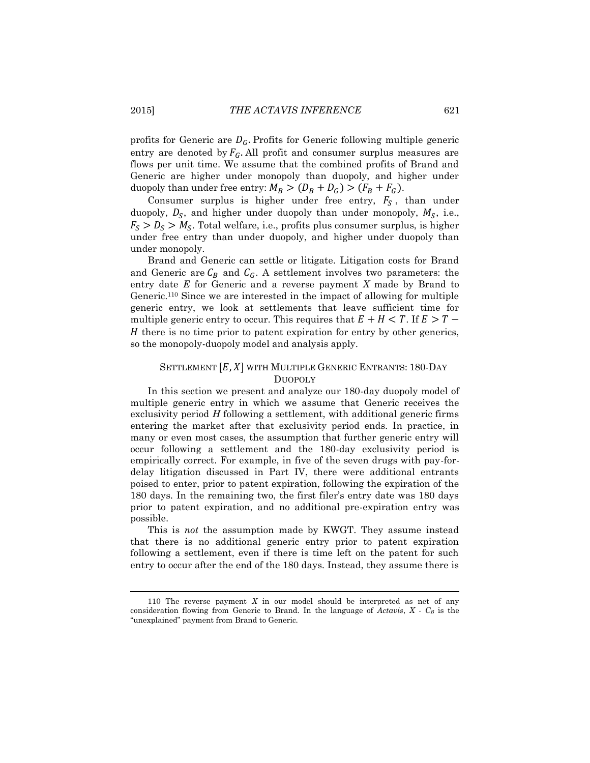profits for Generic are  $D_G$ . Profits for Generic following multiple generic entry are denoted by  $F_G$ . All profit and consumer surplus measures are flows per unit time. We assume that the combined profits of Brand and Generic are higher under monopoly than duopoly, and higher under duopoly than under free entry:  $M_B > (D_B + D_G) > (F_B + F_G)$ .

Consumer surplus is higher under free entry,  $F_S$ , than under duopoly,  $D_s$ , and higher under duopoly than under monopoly,  $M_s$ , i.e.,  $F_S > D_S > M_S$ . Total welfare, i.e., profits plus consumer surplus, is higher under free entry than under duopoly, and higher under duopoly than under monopoly.

Brand and Generic can settle or litigate. Litigation costs for Brand and Generic are  $C_B$  and  $C_G$ . A settlement involves two parameters: the entry date *E* for Generic and a reverse payment *X* made by Brand to Generic.<sup>110</sup> Since we are interested in the impact of allowing for multiple generic entry, we look at settlements that leave sufficient time for multiple generic entry to occur. This requires that  $E + H < T$ . If  $E > T H$  there is no time prior to patent expiration for entry by other generics, so the monopoly-duopoly model and analysis apply.

## SETTLEMENT  $[E, X]$  with MULTIPLE GENERIC ENTRANTS: 180-DAY DUOPOLY

In this section we present and analyze our 180-day duopoly model of multiple generic entry in which we assume that Generic receives the exclusivity period *H* following a settlement, with additional generic firms entering the market after that exclusivity period ends. In practice, in many or even most cases, the assumption that further generic entry will occur following a settlement and the 180-day exclusivity period is empirically correct. For example, in five of the seven drugs with pay-fordelay litigation discussed in Part IV, there were additional entrants poised to enter, prior to patent expiration, following the expiration of the 180 days. In the remaining two, the first filer's entry date was 180 days prior to patent expiration, and no additional pre-expiration entry was possible.

This is *not* the assumption made by KWGT. They assume instead that there is no additional generic entry prior to patent expiration following a settlement, even if there is time left on the patent for such entry to occur after the end of the 180 days. Instead, they assume there is

<sup>110</sup> The reverse payment *X* in our model should be interpreted as net of any consideration flowing from Generic to Brand. In the language of *Actavis*, *X - C<sup>B</sup>* is the "unexplained" payment from Brand to Generic.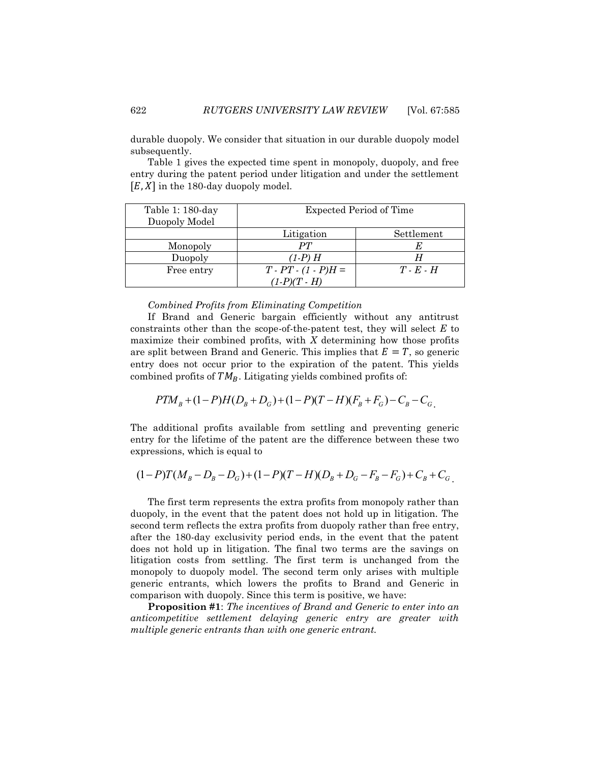durable duopoly. We consider that situation in our durable duopoly model subsequently.

Table 1 gives the expected time spent in monopoly, duopoly, and free entry during the patent period under litigation and under the settlement  $[E, X]$  in the 180-day duopoly model.

| Table 1: 180-day<br>Duopoly Model | <b>Expected Period of Time</b> |             |  |
|-----------------------------------|--------------------------------|-------------|--|
|                                   |                                |             |  |
|                                   | Litigation                     | Settlement  |  |
| Monopoly                          | PΤ                             |             |  |
| Duopoly                           | $(1-P)H$                       |             |  |
| Free entry                        | $T - PT - (1 - P)H =$          | $T - E - H$ |  |
|                                   | $(1-P)(T - H)$                 |             |  |

### *Combined Profits from Eliminating Competition*

If Brand and Generic bargain efficiently without any antitrust constraints other than the scope-of-the-patent test, they will select *E* to maximize their combined profits, with *X* determining how those profits are split between Brand and Generic. This implies that  $E = T$ , so generic entry does not occur prior to the expiration of the patent. This yields combined profits of  $TM_B$ . Litigating yields combined profits of:

$$
PTM_{B} + (1 - P)H(D_{B} + D_{G}) + (1 - P)(T - H)(F_{B} + F_{G}) - C_{B} - C_{G}
$$

The additional profits available from settling and preventing generic entry for the lifetime of the patent are the difference between these two expressions, which is equal to

$$
(1-P)T(M_B - D_B - D_G) + (1-P)(T-H)(D_B + D_G - F_B - F_G) + C_B + C_G
$$

The first term represents the extra profits from monopoly rather than duopoly, in the event that the patent does not hold up in litigation. The second term reflects the extra profits from duopoly rather than free entry, after the 180-day exclusivity period ends, in the event that the patent does not hold up in litigation. The final two terms are the savings on litigation costs from settling. The first term is unchanged from the monopoly to duopoly model. The second term only arises with multiple generic entrants, which lowers the profits to Brand and Generic in comparison with duopoly. Since this term is positive, we have:

**Proposition #1**: *The incentives of Brand and Generic to enter into an anticompetitive settlement delaying generic entry are greater with multiple generic entrants than with one generic entrant.*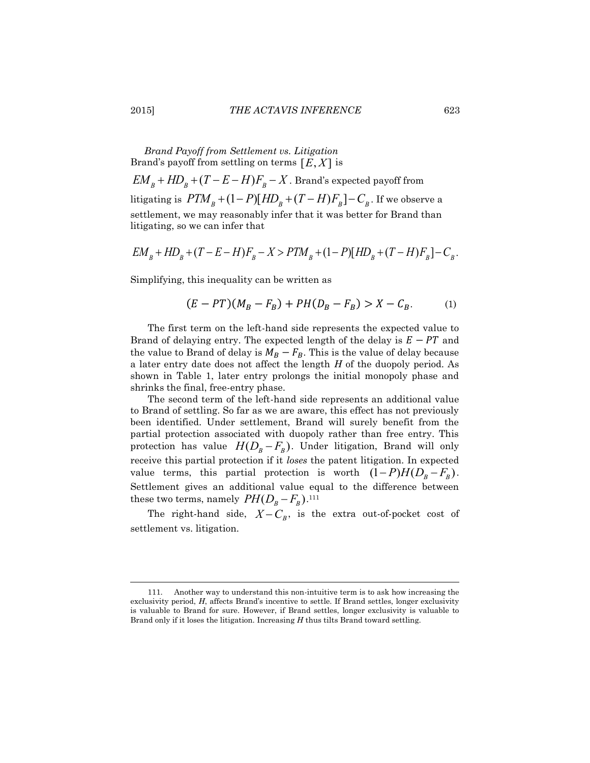*Brand Payoff from Settlement vs. Litigation* Brand's payoff from settling on terms  $[E, X]$  is

 $EM_{B}$  +  $HD_{B}$  +  $(T - E - H)F_{B} - X$  . Brand's expected payoff from litigating is  $\left. \mathit{PTM}_{_{B}}\right. +\left(1\!-\!P\right)\!\left[ \mathit{HD}_{_{B}}\right. +\left(T- H\right)\! F_{_{B}}\right] \!-\!C_{_{B}}.$  If we observe a settlement, we may reasonably infer that it was better for Brand than litigating, so we can infer that

$$
EM_B + HD_B + (T - E - H)F_B - X > PTM_B + (1 - P)[HD_B + (T - H)F_B] - C_B.
$$

Simplifying, this inequality can be written as

$$
(E - PT)(M_B - F_B) + PH(D_B - F_B) > X - C_B.
$$
 (1)

The first term on the left-hand side represents the expected value to Brand of delaying entry. The expected length of the delay is  $E - PT$  and the value to Brand of delay is  $M_B - F_B$ . This is the value of delay because a later entry date does not affect the length *H* of the duopoly period. As shown in Table 1, later entry prolongs the initial monopoly phase and shrinks the final, free-entry phase.

The second term of the left-hand side represents an additional value to Brand of settling. So far as we are aware, this effect has not previously been identified. Under settlement, Brand will surely benefit from the partial protection associated with duopoly rather than free entry. This protection has value  $H(D_B - F_B)$ . Under litigation, Brand will only receive this partial protection if it *loses* the patent litigation. In expected value terms, this partial protection is worth  $(1-P)H(D_B-F_B)$ . Settlement gives an additional value equal to the difference between these two terms, namely  $PH(D_B - F_B)$ .<sup>111</sup>

The right-hand side,  $X - C_B$ , is the extra out-of-pocket cost of settlement vs. litigation.

<sup>111.</sup> Another way to understand this non-intuitive term is to ask how increasing the exclusivity period, *H*, affects Brand's incentive to settle. If Brand settles, longer exclusivity is valuable to Brand for sure. However, if Brand settles, longer exclusivity is valuable to Brand only if it loses the litigation. Increasing *H* thus tilts Brand toward settling.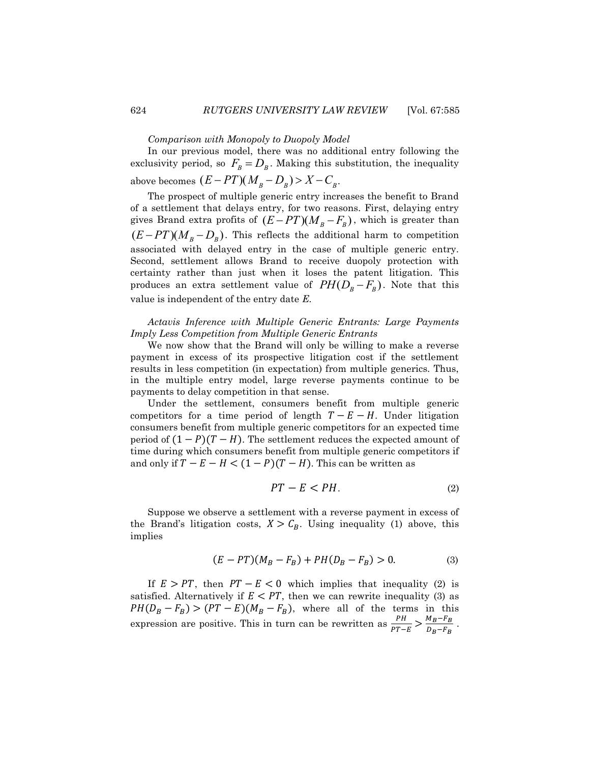#### *Comparison with Monopoly to Duopoly Model*

In our previous model, there was no additional entry following the exclusivity period, so  $F_B = D_B$ . Making this substitution, the inequality above becomes  $(E - PT)(M_B - D_B) > X - C_B$ .

The prospect of multiple generic entry increases the benefit to Brand of a settlement that delays entry, for two reasons. First, delaying entry gives Brand extra profits of  $(E - PT)(M_B - F_B)$ , which is greater than  $(E - PT)(M_B - D_B)$ . This reflects the additional harm to competition associated with delayed entry in the case of multiple generic entry. Second, settlement allows Brand to receive duopoly protection with certainty rather than just when it loses the patent litigation. This produces an extra settlement value of  $PH(D_B - F_B)$ . Note that this value is independent of the entry date *E.*

*Actavis Inference with Multiple Generic Entrants: Large Payments Imply Less Competition from Multiple Generic Entrants*

We now show that the Brand will only be willing to make a reverse payment in excess of its prospective litigation cost if the settlement results in less competition (in expectation) from multiple generics. Thus, in the multiple entry model, large reverse payments continue to be payments to delay competition in that sense.

Under the settlement, consumers benefit from multiple generic competitors for a time period of length  $T - E - H$ . Under litigation consumers benefit from multiple generic competitors for an expected time period of  $(1 - P)(T - H)$ . The settlement reduces the expected amount of time during which consumers benefit from multiple generic competitors if and only if  $T - E - H < (1 - P)(T - H)$ . This can be written as

$$
PT - E < PH. \tag{2}
$$

Suppose we observe a settlement with a reverse payment in excess of the Brand's litigation costs,  $X > C_B$ . Using inequality (1) above, this implies

$$
(E - PT)(M_B - F_B) + PH(D_B - F_B) > 0.
$$
 (3)

If  $E > PT$ , then  $PT - E < 0$  which implies that inequality (2) is satisfied. Alternatively if  $E < PT$ , then we can rewrite inequality (3) as  $PH(D_B - F_B) > (PT - E)(M_B - F_B)$ , where all of the terms in this expression are positive. This in turn can be rewritten as  $\frac{PH}{PT-E} > \frac{M}{D}$  $\frac{m_B + p}{D_B - F_B}$ .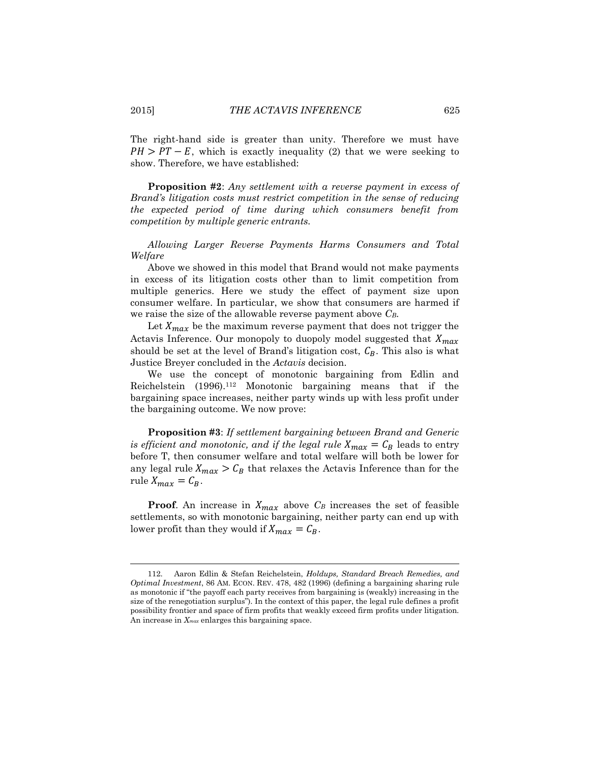The right-hand side is greater than unity. Therefore we must have  $PH > PT - E$ , which is exactly inequality (2) that we were seeking to show. Therefore, we have established:

**Proposition #2**: *Any settlement with a reverse payment in excess of Brand's litigation costs must restrict competition in the sense of reducing the expected period of time during which consumers benefit from competition by multiple generic entrants.*

*Allowing Larger Reverse Payments Harms Consumers and Total Welfare*

Above we showed in this model that Brand would not make payments in excess of its litigation costs other than to limit competition from multiple generics. Here we study the effect of payment size upon consumer welfare. In particular, we show that consumers are harmed if we raise the size of the allowable reverse payment above *CB*.

Let  $X_{max}$  be the maximum reverse payment that does not trigger the Actavis Inference. Our monopoly to duopoly model suggested that  $X_{max}$ should be set at the level of Brand's litigation cost,  $C_R$ . This also is what Justice Breyer concluded in the *Actavis* decision.

We use the concept of monotonic bargaining from Edlin and Reichelstein (1996).<sup>112</sup> Monotonic bargaining means that if the bargaining space increases, neither party winds up with less profit under the bargaining outcome. We now prove:

**Proposition #3**: *If settlement bargaining between Brand and Generic is efficient and monotonic, and if the legal rule*  $X_{max} = C_B$  leads to entry before T, then consumer welfare and total welfare will both be lower for any legal rule  $X_{max} > C_B$  that relaxes the Actavis Inference than for the rule  $X_{max} = C_B$ .

**Proof.** An increase in  $X_{max}$  above  $C_B$  increases the set of feasible settlements, so with monotonic bargaining, neither party can end up with lower profit than they would if  $X_{max} = C_B$ .

 $\overline{a}$ 

<sup>112.</sup> Aaron Edlin & Stefan Reichelstein, *Holdups, Standard Breach Remedies, and Optimal Investment*, 86 AM. ECON. REV. 478, 482 (1996) (defining a bargaining sharing rule as monotonic if "the payoff each party receives from bargaining is (weakly) increasing in the size of the renegotiation surplus"). In the context of this paper, the legal rule defines a profit possibility frontier and space of firm profits that weakly exceed firm profits under litigation. An increase in *Xmax* enlarges this bargaining space.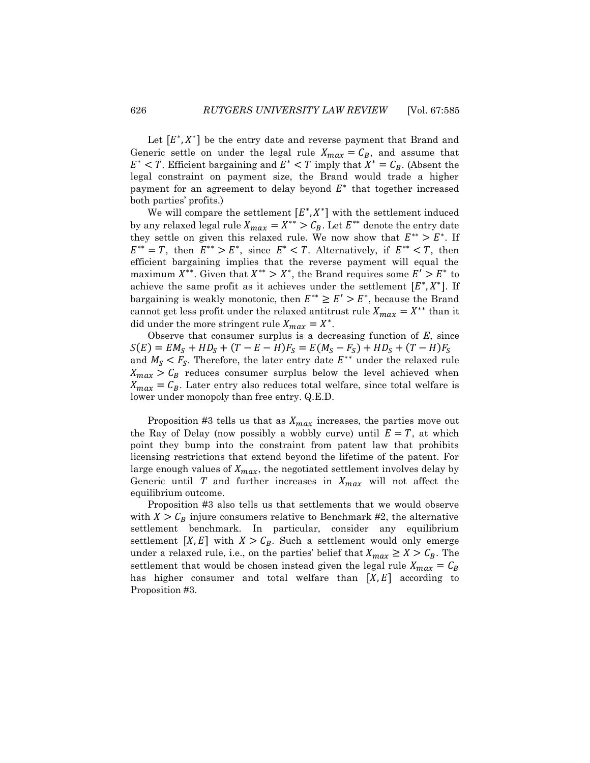Let  $[E^*, X^*]$  be the entry date and reverse payment that Brand and Generic settle on under the legal rule  $X_{max} = C_B$ , and assume that  $E^*$  < T. Efficient bargaining and  $E^*$  < T imply that  $X^* = C_B$ . (Absent the legal constraint on payment size, the Brand would trade a higher payment for an agreement to delay beyond  $E^*$  that together increased both parties' profits.)

We will compare the settlement  $[E^*, X^*]$  with the settlement induced by any relaxed legal rule  $X_{max} = X^{**} > C_B$ . Let  $E^{**}$  denote the entry date they settle on given this relaxed rule. We now show that  $E^{**} > E^*$ . If  $E^{**} = T$ , then  $E^{**} > E^*$ , since  $E^* < T$ . Alternatively, if  $E^{**} < T$ , then efficient bargaining implies that the reverse payment will equal the maximum  $X^{**}$ . Given that  $X^{**} > X^*$ , the Brand requires some  $E' > E^*$  to achieve the same profit as it achieves under the settlement  $[E^*, X^*]$ . If bargaining is weakly monotonic, then  $E^{**} \geq E' > E^*$ , because the Brand cannot get less profit under the relaxed antitrust rule  $X_{max} = X^{**}$  than it did under the more stringent rule  $X_{max} = X^*$ .

Observe that consumer surplus is a decreasing function of *E*, since  $S(E) = EM_S + HD_S + (T - E - H)F_S = E(M_S - F_S) + HD_S + (T - H)F_S$ and  $M_s < F_s$ . Therefore, the later entry date  $E^{**}$  under the relaxed rule  $X_{max} > C_B$  reduces consumer surplus below the level achieved when  $X_{max} = C_B$ . Later entry also reduces total welfare, since total welfare is lower under monopoly than free entry. Q.E.D.

Proposition #3 tells us that as  $X_{max}$  increases, the parties move out the Ray of Delay (now possibly a wobbly curve) until  $E = T$ , at which point they bump into the constraint from patent law that prohibits licensing restrictions that extend beyond the lifetime of the patent. For large enough values of  $X_{max}$ , the negotiated settlement involves delay by Generic until  $T$  and further increases in  $X_{max}$  will not affect the equilibrium outcome.

Proposition #3 also tells us that settlements that we would observe with  $X > C_R$  injure consumers relative to Benchmark #2, the alternative settlement benchmark. In particular, consider any equilibrium settlement  $[X, E]$  with  $X > C_R$ . Such a settlement would only emerge under a relaxed rule, i.e., on the parties' belief that  $X_{max} \ge X > C_B$ . The settlement that would be chosen instead given the legal rule  $X_{max} = C_B$ has higher consumer and total welfare than  $[X, E]$  according to Proposition #3.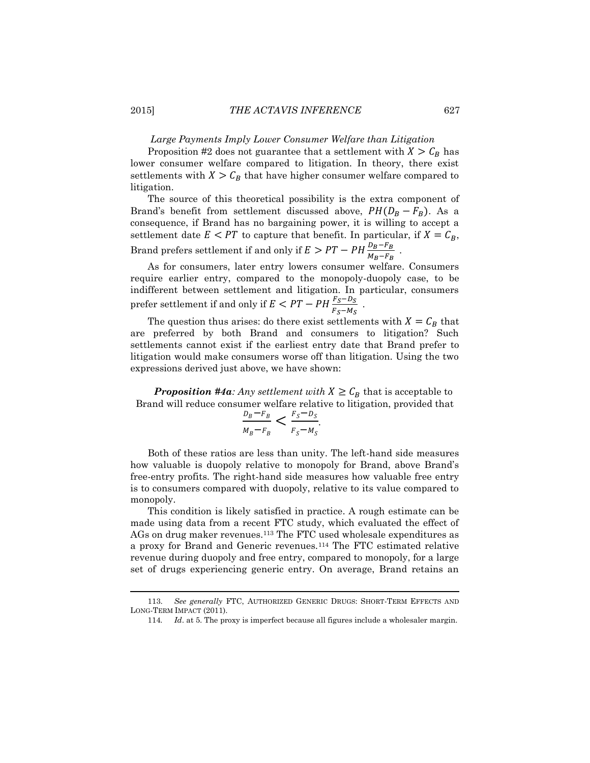*Large Payments Imply Lower Consumer Welfare than Litigation*

Proposition #2 does not guarantee that a settlement with  $X > C_R$  has lower consumer welfare compared to litigation. In theory, there exist settlements with  $X > C_B$  that have higher consumer welfare compared to litigation.

The source of this theoretical possibility is the extra component of Brand's benefit from settlement discussed above,  $PH(D_B - F_B)$ . As a consequence, if Brand has no bargaining power, it is willing to accept a settlement date  $E \le PT$  to capture that benefit. In particular, if  $X = C_B$ , Brand prefers settlement if and only if  $E > PT - PH \frac{\frac{DE}{H} + B}{M_B - F_B}$ .

As for consumers, later entry lowers consumer welfare. Consumers require earlier entry, compared to the monopoly-duopoly case, to be indifferent between settlement and litigation. In particular, consumers prefer settlement if and only if  $E < PT$  – PH  $\frac{r_S - r_S}{F_S - M_S}$ .

The question thus arises: do there exist settlements with  $X = C_B$  that are preferred by both Brand and consumers to litigation? Such settlements cannot exist if the earliest entry date that Brand prefer to litigation would make consumers worse off than litigation. Using the two expressions derived just above, we have shown:

**Proposition #4a***: Any settlement with*  $X \geq C_B$  that is acceptable to Brand will reduce consumer welfare relative to litigation, provided that

$$
\frac{D_B - F_B}{M_B - F_B} < \frac{F_S - D_S}{F_S - M_S}.
$$

Both of these ratios are less than unity. The left-hand side measures how valuable is duopoly relative to monopoly for Brand, above Brand's free-entry profits. The right-hand side measures how valuable free entry is to consumers compared with duopoly, relative to its value compared to monopoly.

This condition is likely satisfied in practice. A rough estimate can be made using data from a recent FTC study, which evaluated the effect of AGs on drug maker revenues.<sup>113</sup> The FTC used wholesale expenditures as a proxy for Brand and Generic revenues.<sup>114</sup> The FTC estimated relative revenue during duopoly and free entry, compared to monopoly, for a large set of drugs experiencing generic entry. On average, Brand retains an

<sup>113.</sup> *See generally* FTC, AUTHORIZED GENERIC DRUGS: SHORT-TERM EFFECTS AND LONG-TERM IMPACT (2011).

<sup>114</sup>*. Id*. at 5. The proxy is imperfect because all figures include a wholesaler margin.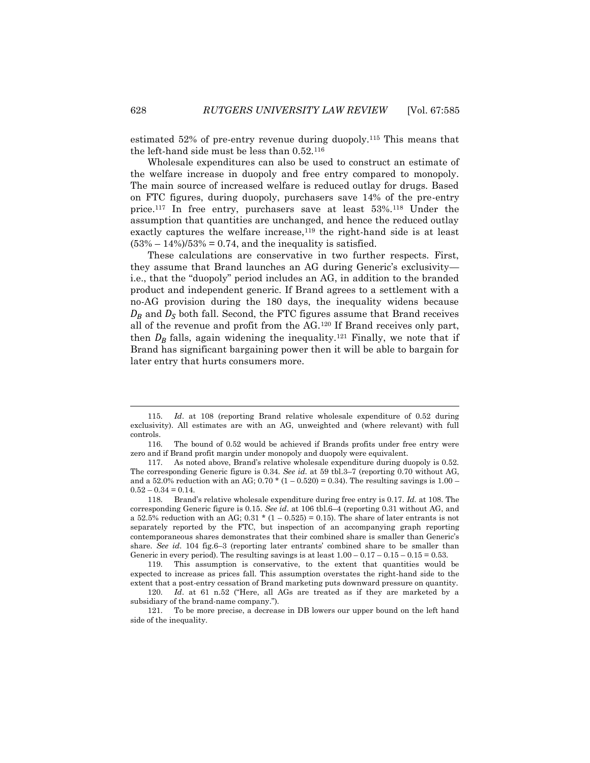estimated 52% of pre-entry revenue during duopoly.<sup>115</sup> This means that the left-hand side must be less than 0.52.<sup>116</sup>

Wholesale expenditures can also be used to construct an estimate of the welfare increase in duopoly and free entry compared to monopoly. The main source of increased welfare is reduced outlay for drugs. Based on FTC figures, during duopoly, purchasers save 14% of the pre-entry price.<sup>117</sup> In free entry, purchasers save at least 53%.<sup>118</sup> Under the assumption that quantities are unchanged, and hence the reduced outlay exactly captures the welfare increase,<sup>119</sup> the right-hand side is at least  $(53\% - 14\%)/53\% = 0.74$ , and the inequality is satisfied.

These calculations are conservative in two further respects. First, they assume that Brand launches an AG during Generic's exclusivity i.e., that the "duopoly" period includes an AG, in addition to the branded product and independent generic. If Brand agrees to a settlement with a no-AG provision during the 180 days, the inequality widens because  $D_R$  and  $D_S$  both fall. Second, the FTC figures assume that Brand receives all of the revenue and profit from the AG.<sup>120</sup> If Brand receives only part, then  $D_R$  falls, again widening the inequality.<sup>121</sup> Finally, we note that if Brand has significant bargaining power then it will be able to bargain for later entry that hurts consumers more.

<sup>115.</sup> *Id*. at 108 (reporting Brand relative wholesale expenditure of 0.52 during exclusivity). All estimates are with an AG, unweighted and (where relevant) with full controls.

<sup>116.</sup> The bound of 0.52 would be achieved if Brands profits under free entry were zero and if Brand profit margin under monopoly and duopoly were equivalent.

<sup>117.</sup> As noted above, Brand's relative wholesale expenditure during duopoly is 0.52. The corresponding Generic figure is 0.34. *See id*. at 59 tbl.3–7 (reporting 0.70 without AG, and a 52.0% reduction with an AG;  $0.70 * (1 - 0.520) = 0.34$ ). The resulting savings is  $1.00 0.52 - 0.34 = 0.14$ .

<sup>118.</sup> Brand's relative wholesale expenditure during free entry is 0.17. *Id.* at 108. The corresponding Generic figure is 0.15. *See id*. at 106 tbl.6–4 (reporting 0.31 without AG, and a 52.5% reduction with an AG;  $0.31 * (1 - 0.525) = 0.15$ ). The share of later entrants is not separately reported by the FTC, but inspection of an accompanying graph reporting contemporaneous shares demonstrates that their combined share is smaller than Generic's share. *See id*. 104 fig.6–3 (reporting later entrants' combined share to be smaller than Generic in every period). The resulting savings is at least  $1.00 - 0.17 - 0.15 - 0.15 = 0.53$ .

<sup>119.</sup> This assumption is conservative, to the extent that quantities would be expected to increase as prices fall. This assumption overstates the right-hand side to the extent that a post-entry cessation of Brand marketing puts downward pressure on quantity.

<sup>120.</sup> *Id*. at 61 n.52 ("Here, all AGs are treated as if they are marketed by a subsidiary of the brand-name company.").

<sup>121.</sup> To be more precise, a decrease in DB lowers our upper bound on the left hand side of the inequality.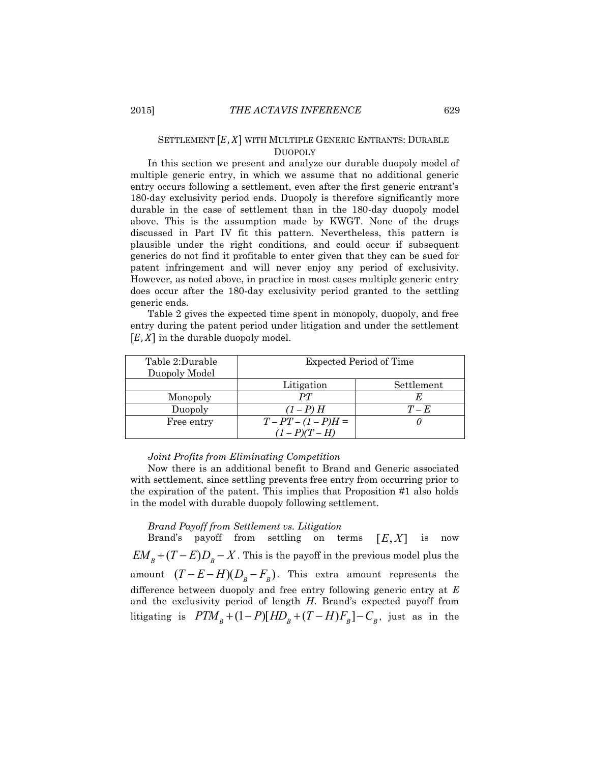### SETTLEMENT  $[E, X]$  with MULTIPLE GENERIC ENTRANTS: DURABLE DUOPOLY

In this section we present and analyze our durable duopoly model of multiple generic entry, in which we assume that no additional generic entry occurs following a settlement, even after the first generic entrant's 180-day exclusivity period ends. Duopoly is therefore significantly more durable in the case of settlement than in the 180-day duopoly model above. This is the assumption made by KWGT. None of the drugs discussed in Part IV fit this pattern. Nevertheless, this pattern is plausible under the right conditions, and could occur if subsequent generics do not find it profitable to enter given that they can be sued for patent infringement and will never enjoy any period of exclusivity. However, as noted above, in practice in most cases multiple generic entry does occur after the 180-day exclusivity period granted to the settling generic ends.

Table 2 gives the expected time spent in monopoly, duopoly, and free entry during the patent period under litigation and under the settlement  $[E, X]$  in the durable duopoly model.

| Table 2:Durable<br>Duopoly Model | <b>Expected Period of Time</b> |            |  |  |
|----------------------------------|--------------------------------|------------|--|--|
|                                  | Litigation                     | Settlement |  |  |
| Monopoly                         | PΤ                             |            |  |  |
| Duopoly                          | $(1 - P) H$                    | $T - E$    |  |  |
| Free entry                       | $T-PT-(1-P)H =$                |            |  |  |
|                                  | $(1 - P)(T - H)$               |            |  |  |

### *Joint Profits from Eliminating Competition*

Now there is an additional benefit to Brand and Generic associated with settlement, since settling prevents free entry from occurring prior to the expiration of the patent. This implies that Proposition #1 also holds in the model with durable duopoly following settlement.

### *Brand Payoff from Settlement vs. Litigation*

Brand's payoff from settling on terms  $[E, X]$  is now  $EM_{B} + (T - E)D_{B} - X$ . This is the payoff in the previous model plus the amount  $(T - E - H)(D_{\overline{B}} - F_{\overline{B}})$ . This extra amount represents the difference between duopoly and free entry following generic entry at *E* and the exclusivity period of length *H*. Brand's expected payoff from litigating is  $PTM_B + (1 - P)[HD_B + (T - H)F_B] - C_B$ , just as in the  $[E, X]$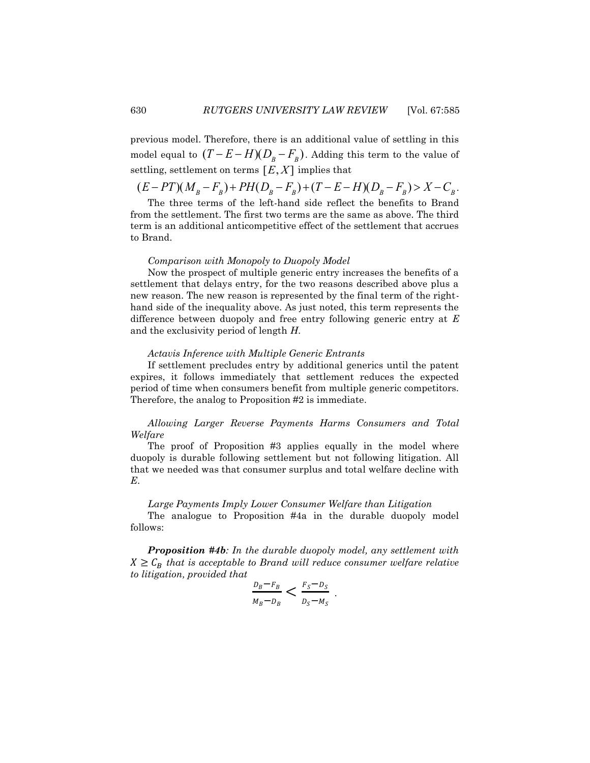previous model. Therefore, there is an additional value of settling in this model equal to  $(T - E - H)(D_{\beta} - F_{\beta})$ . Adding this term to the value of settling, settlement on terms  $[E, X]$  implies that

$$
(E - PT)(M_B - F_B) + PH(D_B - F_B) + (T - E - H)(D_B - F_B) > X - C_B.
$$

The three terms of the left-hand side reflect the benefits to Brand from the settlement. The first two terms are the same as above. The third term is an additional anticompetitive effect of the settlement that accrues to Brand.

#### *Comparison with Monopoly to Duopoly Model*

Now the prospect of multiple generic entry increases the benefits of a settlement that delays entry, for the two reasons described above plus a new reason. The new reason is represented by the final term of the righthand side of the inequality above. As just noted, this term represents the difference between duopoly and free entry following generic entry at *E* and the exclusivity period of length *H*.

### *Actavis Inference with Multiple Generic Entrants*

If settlement precludes entry by additional generics until the patent expires, it follows immediately that settlement reduces the expected period of time when consumers benefit from multiple generic competitors. Therefore, the analog to Proposition #2 is immediate.

## *Allowing Larger Reverse Payments Harms Consumers and Total Welfare*

The proof of Proposition #3 applies equally in the model where duopoly is durable following settlement but not following litigation. All that we needed was that consumer surplus and total welfare decline with *E*.

### *Large Payments Imply Lower Consumer Welfare than Litigation*

The analogue to Proposition #4a in the durable duopoly model follows:

*Proposition #4b: In the durable duopoly model, any settlement with*   $X \geq C_R$  that is acceptable to Brand will reduce consumer welfare relative *to litigation, provided that*

$$
\tfrac{D_B-F_B}{M_B-D_B} < \tfrac{F_S-D_S}{D_S-M_S} \; .
$$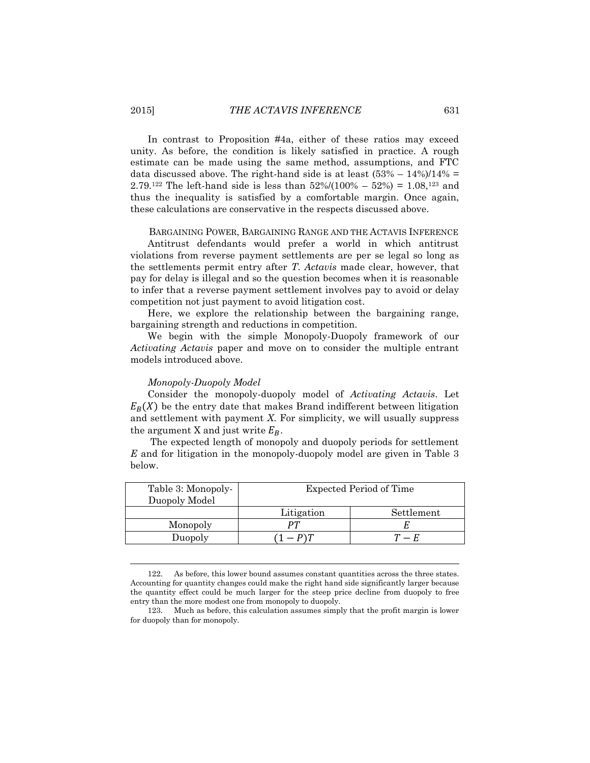In contrast to Proposition #4a, either of these ratios may exceed unity. As before, the condition is likely satisfied in practice. A rough estimate can be made using the same method, assumptions, and FTC data discussed above. The right-hand side is at least  $(53\% - 14\%)/14\% =$ 2.79.<sup>122</sup> The left-hand side is less than  $52\%/100\% - 52\%) = 1.08$ ,<sup>123</sup> and thus the inequality is satisfied by a comfortable margin. Once again, these calculations are conservative in the respects discussed above.

### BARGAINING POWER, BARGAINING RANGE AND THE ACTAVIS INFERENCE

Antitrust defendants would prefer a world in which antitrust violations from reverse payment settlements are per se legal so long as the settlements permit entry after *T*. *Actavis* made clear, however, that pay for delay is illegal and so the question becomes when it is reasonable to infer that a reverse payment settlement involves pay to avoid or delay competition not just payment to avoid litigation cost.

Here, we explore the relationship between the bargaining range, bargaining strength and reductions in competition.

We begin with the simple Monopoly-Duopoly framework of our *Activating Actavis* paper and move on to consider the multiple entrant models introduced above.

#### *Monopoly-Duopoly Model*

Consider the monopoly-duopoly model of *Activating Actavis*. Let  $E_R(X)$  be the entry date that makes Brand indifferent between litigation and settlement with payment *X*. For simplicity, we will usually suppress the argument X and just write  $E_R$ .

The expected length of monopoly and duopoly periods for settlement *E* and for litigation in the monopoly-duopoly model are given in Table 3 below.

| Table 3: Monopoly-<br>Duopoly Model | <b>Expected Period of Time</b> |            |  |
|-------------------------------------|--------------------------------|------------|--|
|                                     | Litigation                     | Settlement |  |
| Monopoly                            |                                |            |  |
| Duopoly                             |                                |            |  |

<sup>122.</sup> As before, this lower bound assumes constant quantities across the three states. Accounting for quantity changes could make the right hand side significantly larger because the quantity effect could be much larger for the steep price decline from duopoly to free entry than the more modest one from monopoly to duopoly.

 $\overline{a}$ 

<sup>123.</sup> Much as before, this calculation assumes simply that the profit margin is lower for duopoly than for monopoly.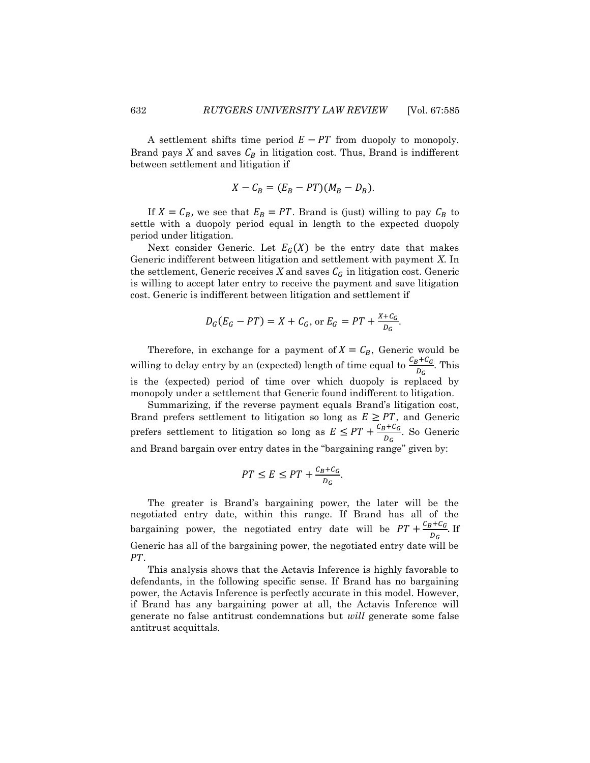A settlement shifts time period  $E - PT$  from duopoly to monopoly. Brand pays  $X$  and saves  $C_B$  in litigation cost. Thus, Brand is indifferent between settlement and litigation if

$$
X - C_B = (E_B - PT)(M_B - D_B).
$$

If  $X = C_B$ , we see that  $E_B = PT$ . Brand is (just) willing to pay  $C_B$  to settle with a duopoly period equal in length to the expected duopoly period under litigation.

Next consider Generic. Let  $E_G(X)$  be the entry date that makes Generic indifferent between litigation and settlement with payment *X*. In the settlement, Generic receives *X* and saves  $C_G$  in litigation cost. Generic is willing to accept later entry to receive the payment and save litigation cost. Generic is indifferent between litigation and settlement if

$$
D_G(E_G - PT) = X + C_G
$$
, or  $E_G = PT + \frac{X + C_G}{D_G}$ .

Therefore, in exchange for a payment of  $X = C_B$ , Generic would be willing to delay entry by an (expected) length of time equal to  $\frac{c_B + c_G}{D_G}$ . This is the (expected) period of time over which duopoly is replaced by monopoly under a settlement that Generic found indifferent to litigation.

Summarizing, if the reverse payment equals Brand's litigation cost, Brand prefers settlement to litigation so long as  $E \geq PT$ , and Generic prefers settlement to litigation so long as  $E \le PT + \frac{C}{C}$  $\frac{B}{D_G}$ . So Generic and Brand bargain over entry dates in the "bargaining range" given by:

$$
PT \le E \le PT + \frac{c_B + c_G}{D_G}.
$$

The greater is Brand's bargaining power, the later will be the negotiated entry date, within this range. If Brand has all of the bargaining power, the negotiated entry date will be  $PT + \frac{C}{T}$  $\frac{\partial^4 U G}{\partial G}$ . If Generic has all of the bargaining power, the negotiated entry date will be  $PT.$ 

This analysis shows that the Actavis Inference is highly favorable to defendants, in the following specific sense. If Brand has no bargaining power, the Actavis Inference is perfectly accurate in this model. However, if Brand has any bargaining power at all, the Actavis Inference will generate no false antitrust condemnations but *will* generate some false antitrust acquittals.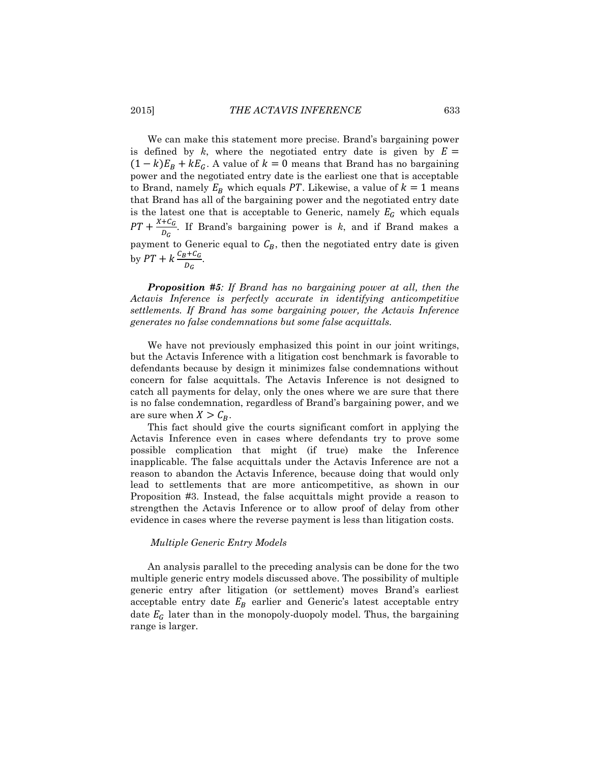We can make this statement more precise. Brand's bargaining power is defined by  $k$ , where the negotiated entry date is given by  $E =$  $(1 - k)E_B + kE_G$ . A value of  $k = 0$  means that Brand has no bargaining power and the negotiated entry date is the earliest one that is acceptable to Brand, namely  $E_B$  which equals PT. Likewise, a value of  $k = 1$  means that Brand has all of the bargaining power and the negotiated entry date is the latest one that is acceptable to Generic, namely  $E_G$  which equals  $PT + \frac{X}{A}$  $\frac{r_{\rm c}}{D_G}$ . If Brand's bargaining power is *k*, and if Brand makes a payment to Generic equal to  $C_B$ , then the negotiated entry date is given by  $PT + k \frac{C}{A}$  $\frac{B_1 \cup G}{D_G}$ .

*Proposition #5: If Brand has no bargaining power at all, then the Actavis Inference is perfectly accurate in identifying anticompetitive settlements. If Brand has some bargaining power, the Actavis Inference generates no false condemnations but some false acquittals.*

We have not previously emphasized this point in our joint writings, but the Actavis Inference with a litigation cost benchmark is favorable to defendants because by design it minimizes false condemnations without concern for false acquittals. The Actavis Inference is not designed to catch all payments for delay, only the ones where we are sure that there is no false condemnation, regardless of Brand's bargaining power, and we are sure when  $X > C_R$ .

This fact should give the courts significant comfort in applying the Actavis Inference even in cases where defendants try to prove some possible complication that might (if true) make the Inference inapplicable. The false acquittals under the Actavis Inference are not a reason to abandon the Actavis Inference, because doing that would only lead to settlements that are more anticompetitive, as shown in our Proposition #3. Instead, the false acquittals might provide a reason to strengthen the Actavis Inference or to allow proof of delay from other evidence in cases where the reverse payment is less than litigation costs.

### *Multiple Generic Entry Models*

An analysis parallel to the preceding analysis can be done for the two multiple generic entry models discussed above. The possibility of multiple generic entry after litigation (or settlement) moves Brand's earliest acceptable entry date  $E_B$  earlier and Generic's latest acceptable entry date  $E_G$  later than in the monopoly-duopoly model. Thus, the bargaining range is larger.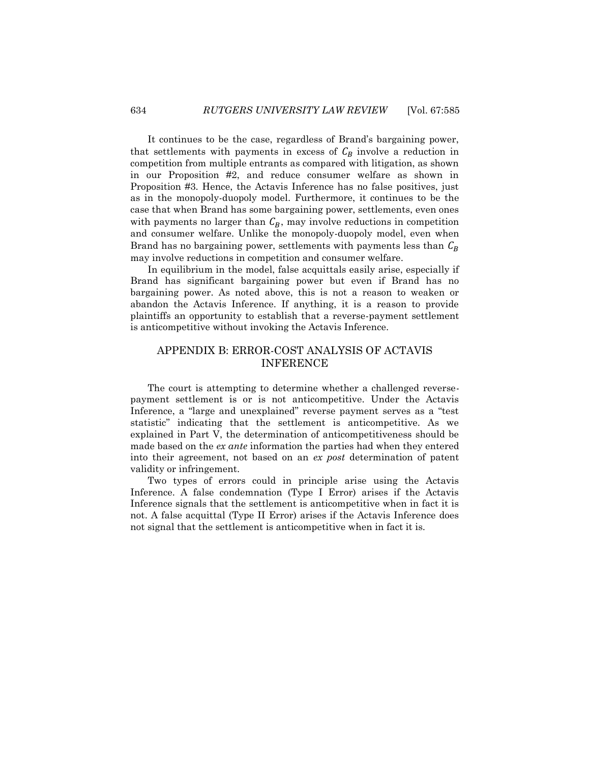It continues to be the case, regardless of Brand's bargaining power, that settlements with payments in excess of  $C_B$  involve a reduction in competition from multiple entrants as compared with litigation, as shown in our Proposition #2, and reduce consumer welfare as shown in Proposition #3. Hence, the Actavis Inference has no false positives, just as in the monopoly-duopoly model. Furthermore, it continues to be the case that when Brand has some bargaining power, settlements, even ones with payments no larger than  $C_B$ , may involve reductions in competition and consumer welfare. Unlike the monopoly-duopoly model, even when Brand has no bargaining power, settlements with payments less than  $C_R$ may involve reductions in competition and consumer welfare.

In equilibrium in the model, false acquittals easily arise, especially if Brand has significant bargaining power but even if Brand has no bargaining power. As noted above, this is not a reason to weaken or abandon the Actavis Inference. If anything, it is a reason to provide plaintiffs an opportunity to establish that a reverse-payment settlement is anticompetitive without invoking the Actavis Inference.

# APPENDIX B: ERROR-COST ANALYSIS OF ACTAVIS INFERENCE

The court is attempting to determine whether a challenged reversepayment settlement is or is not anticompetitive. Under the Actavis Inference, a "large and unexplained" reverse payment serves as a "test statistic" indicating that the settlement is anticompetitive. As we explained in Part V, the determination of anticompetitiveness should be made based on the *ex ante* information the parties had when they entered into their agreement, not based on an *ex post* determination of patent validity or infringement.

Two types of errors could in principle arise using the Actavis Inference. A false condemnation (Type I Error) arises if the Actavis Inference signals that the settlement is anticompetitive when in fact it is not. A false acquittal (Type II Error) arises if the Actavis Inference does not signal that the settlement is anticompetitive when in fact it is.